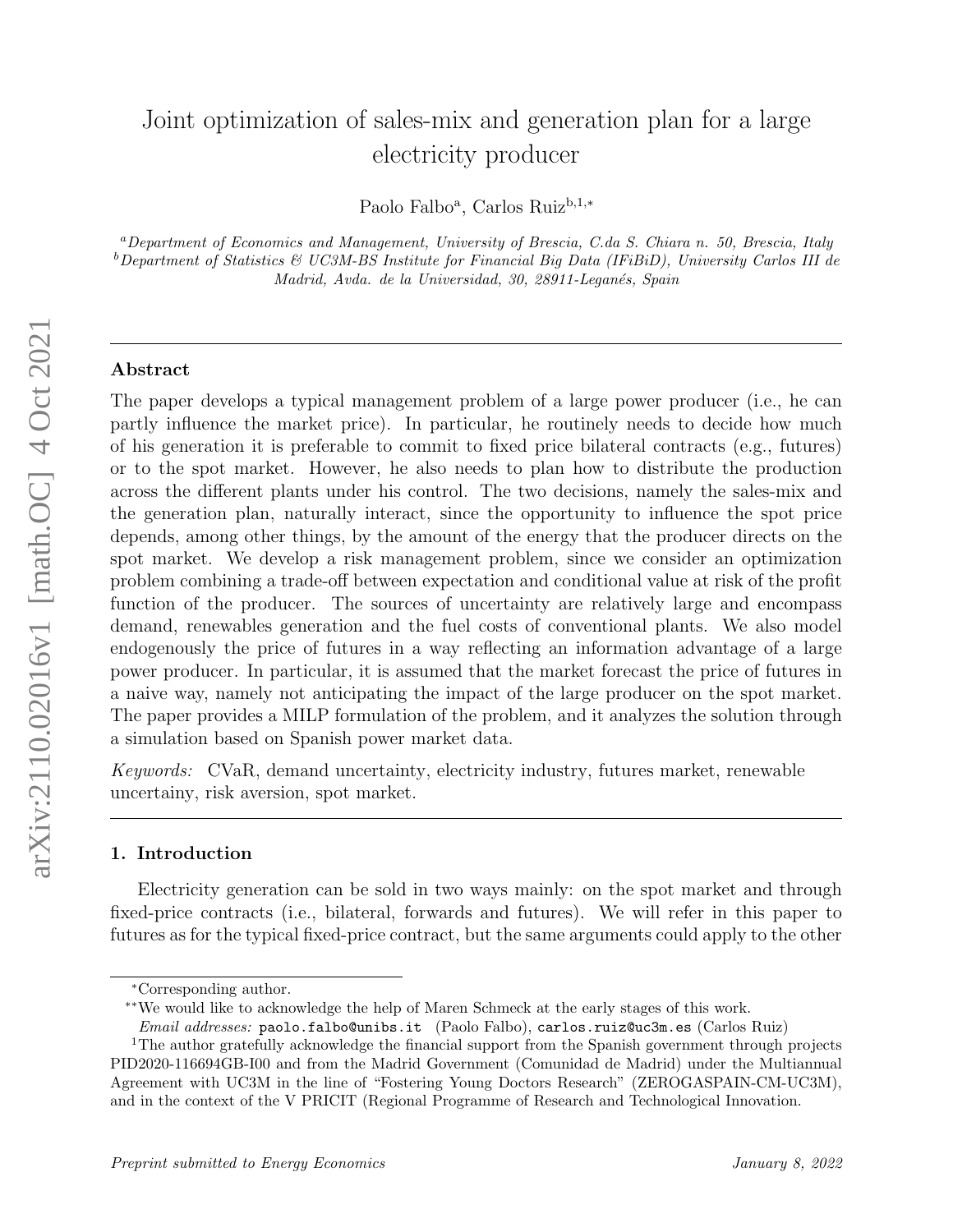# Joint optimization of sales-mix and generation plan for a large electricity producer

Paolo Falbo<sup>a</sup>, Carlos Ruiz<sup>b,1,\*</sup>

<sup>a</sup>Department of Economics and Management, University of Brescia, C.da S. Chiara n. 50, Brescia, Italy  $b$ Department of Statistics & UC3M-BS Institute for Financial Big Data (IFiBiD), University Carlos III de Madrid, Avda. de la Universidad, 30, 28911-Leganés, Spain

## Abstract

The paper develops a typical management problem of a large power producer (i.e., he can partly influence the market price). In particular, he routinely needs to decide how much of his generation it is preferable to commit to fixed price bilateral contracts (e.g., futures) or to the spot market. However, he also needs to plan how to distribute the production across the different plants under his control. The two decisions, namely the sales-mix and the generation plan, naturally interact, since the opportunity to influence the spot price depends, among other things, by the amount of the energy that the producer directs on the spot market. We develop a risk management problem, since we consider an optimization problem combining a trade-off between expectation and conditional value at risk of the profit function of the producer. The sources of uncertainty are relatively large and encompass demand, renewables generation and the fuel costs of conventional plants. We also model endogenously the price of futures in a way reflecting an information advantage of a large power producer. In particular, it is assumed that the market forecast the price of futures in a naive way, namely not anticipating the impact of the large producer on the spot market. The paper provides a MILP formulation of the problem, and it analyzes the solution through a simulation based on Spanish power market data.

Keywords: CVaR, demand uncertainty, electricity industry, futures market, renewable uncertainy, risk aversion, spot market.

# 1. Introduction

Electricity generation can be sold in two ways mainly: on the spot market and through fixed-price contracts (i.e., bilateral, forwards and futures). We will refer in this paper to futures as for the typical fixed-price contract, but the same arguments could apply to the other

<sup>∗</sup>Corresponding author.

<sup>∗∗</sup>We would like to acknowledge the help of Maren Schmeck at the early stages of this work.

Email addresses: paolo.falbo@unibs.it (Paolo Falbo), carlos.ruiz@uc3m.es (Carlos Ruiz)

<sup>&</sup>lt;sup>1</sup>The author gratefully acknowledge the financial support from the Spanish government through projects PID2020-116694GB-I00 and from the Madrid Government (Comunidad de Madrid) under the Multiannual Agreement with UC3M in the line of "Fostering Young Doctors Research" (ZEROGASPAIN-CM-UC3M), and in the context of the V PRICIT (Regional Programme of Research and Technological Innovation.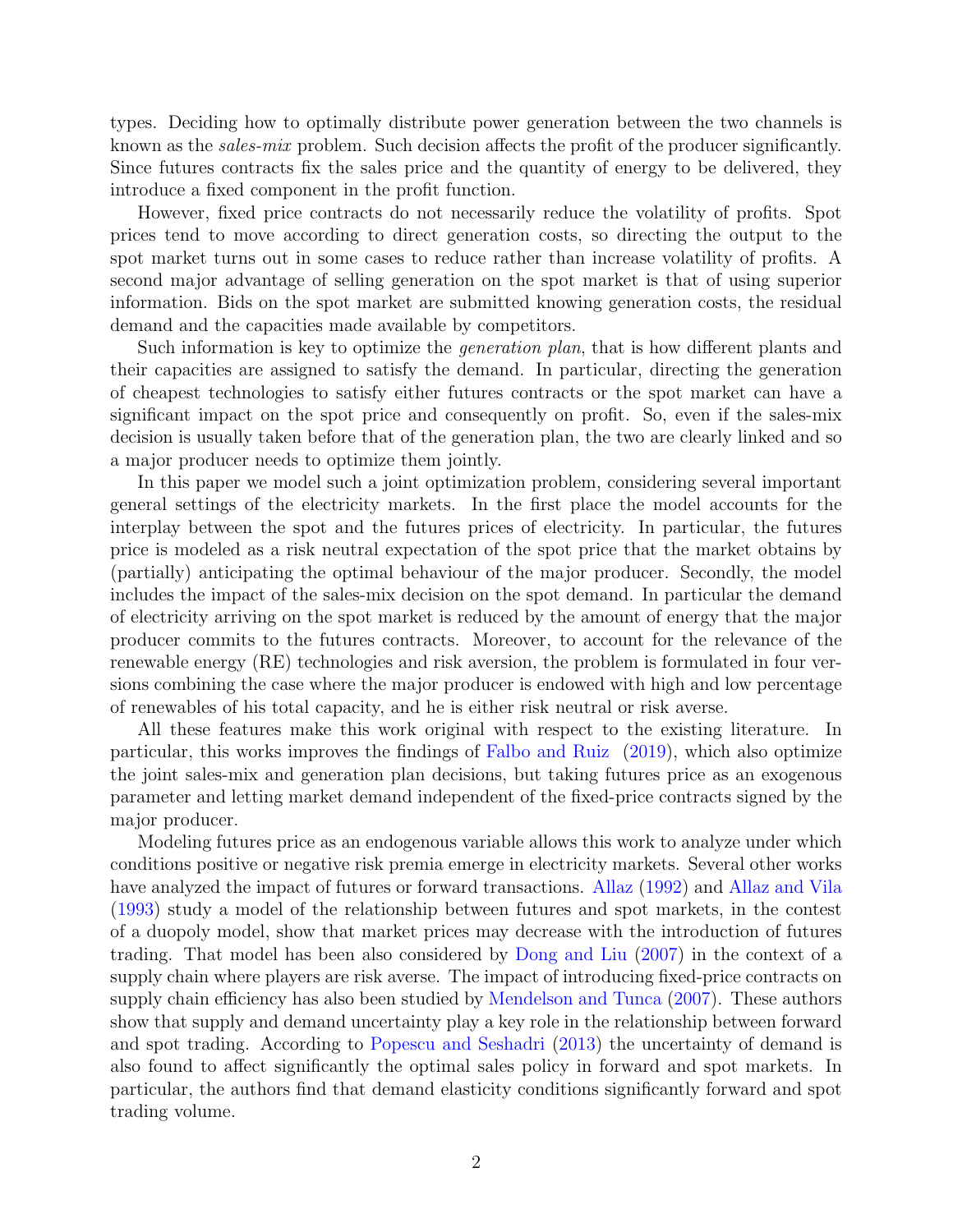types. Deciding how to optimally distribute power generation between the two channels is known as the *sales-mix* problem. Such decision affects the profit of the producer significantly. Since futures contracts fix the sales price and the quantity of energy to be delivered, they introduce a fixed component in the profit function.

However, fixed price contracts do not necessarily reduce the volatility of profits. Spot prices tend to move according to direct generation costs, so directing the output to the spot market turns out in some cases to reduce rather than increase volatility of profits. A second major advantage of selling generation on the spot market is that of using superior information. Bids on the spot market are submitted knowing generation costs, the residual demand and the capacities made available by competitors.

Such information is key to optimize the *generation plan*, that is how different plants and their capacities are assigned to satisfy the demand. In particular, directing the generation of cheapest technologies to satisfy either futures contracts or the spot market can have a significant impact on the spot price and consequently on profit. So, even if the sales-mix decision is usually taken before that of the generation plan, the two are clearly linked and so a major producer needs to optimize them jointly.

In this paper we model such a joint optimization problem, considering several important general settings of the electricity markets. In the first place the model accounts for the interplay between the spot and the futures prices of electricity. In particular, the futures price is modeled as a risk neutral expectation of the spot price that the market obtains by (partially) anticipating the optimal behaviour of the major producer. Secondly, the model includes the impact of the sales-mix decision on the spot demand. In particular the demand of electricity arriving on the spot market is reduced by the amount of energy that the major producer commits to the futures contracts. Moreover, to account for the relevance of the renewable energy (RE) technologies and risk aversion, the problem is formulated in four versions combining the case where the major producer is endowed with high and low percentage of renewables of his total capacity, and he is either risk neutral or risk averse.

All these features make this work original with respect to the existing literature. In particular, this works improves the findings of [Falbo and Ruiz](#page-22-0) [\(2019\)](#page-22-0), which also optimize the joint sales-mix and generation plan decisions, but taking futures price as an exogenous parameter and letting market demand independent of the fixed-price contracts signed by the major producer.

Modeling futures price as an endogenous variable allows this work to analyze under which conditions positive or negative risk premia emerge in electricity markets. Several other works have analyzed the impact of futures or forward transactions. [Allaz](#page-21-0) [\(1992\)](#page-21-0) and [Allaz and Vila](#page-21-1) [\(1993\)](#page-21-1) study a model of the relationship between futures and spot markets, in the contest of a duopoly model, show that market prices may decrease with the introduction of futures trading. That model has been also considered by [Dong and Liu](#page-22-1) [\(2007\)](#page-22-1) in the context of a supply chain where players are risk averse. The impact of introducing fixed-price contracts on supply chain efficiency has also been studied by [Mendelson and Tunca](#page-23-0) [\(2007\)](#page-23-0). These authors show that supply and demand uncertainty play a key role in the relationship between forward and spot trading. According to [Popescu and Seshadri](#page-23-1) [\(2013\)](#page-23-1) the uncertainty of demand is also found to affect significantly the optimal sales policy in forward and spot markets. In particular, the authors find that demand elasticity conditions significantly forward and spot trading volume.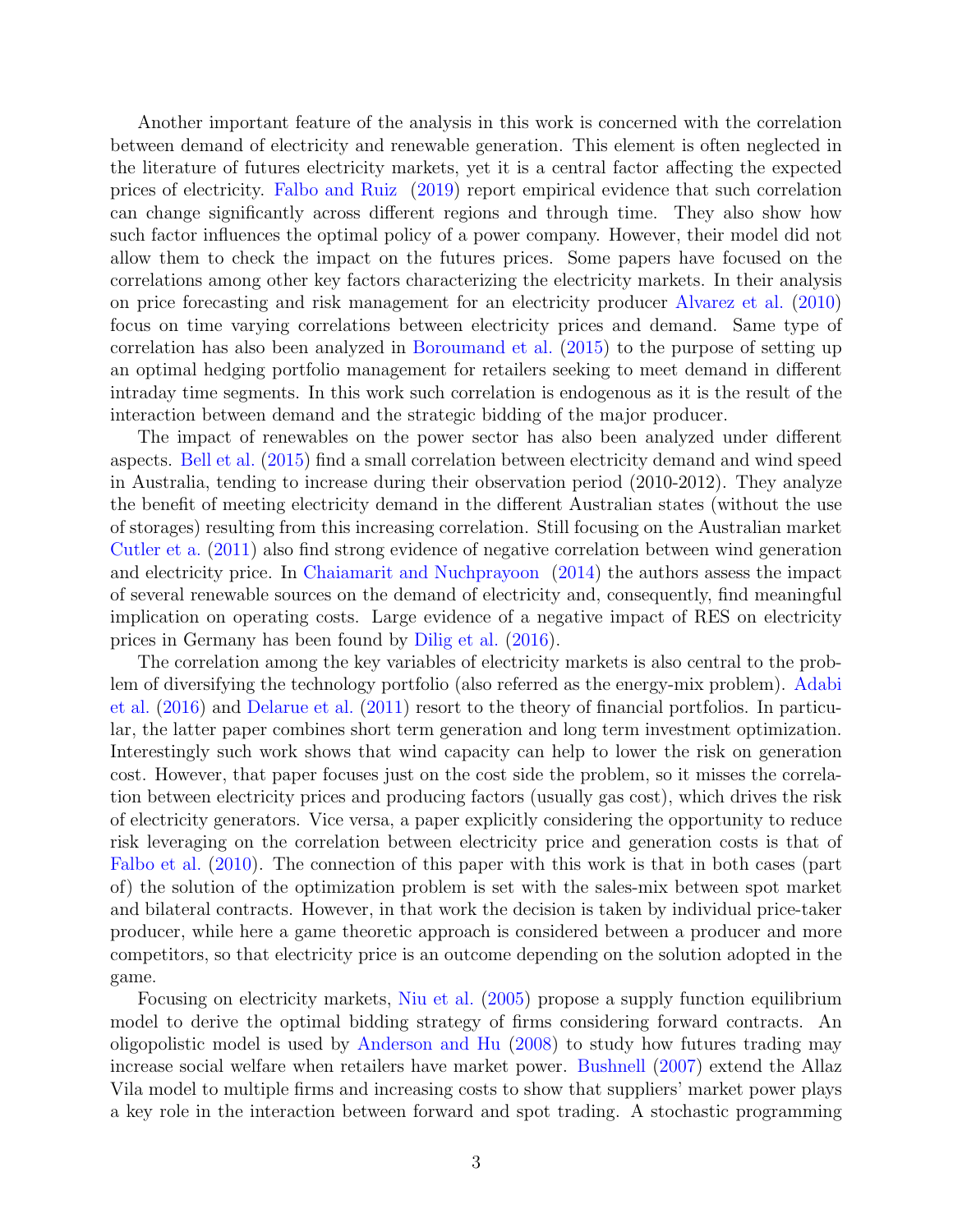Another important feature of the analysis in this work is concerned with the correlation between demand of electricity and renewable generation. This element is often neglected in the literature of futures electricity markets, yet it is a central factor affecting the expected prices of electricity. [Falbo and Ruiz](#page-22-0) [\(2019\)](#page-22-0) report empirical evidence that such correlation can change significantly across different regions and through time. They also show how such factor influences the optimal policy of a power company. However, their model did not allow them to check the impact on the futures prices. Some papers have focused on the correlations among other key factors characterizing the electricity markets. In their analysis on price forecasting and risk management for an electricity producer [Alvarez et al.](#page-21-2) [\(2010\)](#page-21-2) focus on time varying correlations between electricity prices and demand. Same type of correlation has also been analyzed in [Boroumand et al.](#page-21-3) [\(2015\)](#page-21-3) to the purpose of setting up an optimal hedging portfolio management for retailers seeking to meet demand in different intraday time segments. In this work such correlation is endogenous as it is the result of the interaction between demand and the strategic bidding of the major producer.

The impact of renewables on the power sector has also been analyzed under different aspects. [Bell et al.](#page-21-4) [\(2015\)](#page-21-4) find a small correlation between electricity demand and wind speed in Australia, tending to increase during their observation period (2010-2012). They analyze the benefit of meeting electricity demand in the different Australian states (without the use of storages) resulting from this increasing correlation. Still focusing on the Australian market [Cutler et a.](#page-22-2) [\(2011\)](#page-22-2) also find strong evidence of negative correlation between wind generation and electricity price. In [Chaiamarit and Nuchprayoon](#page-22-3) [\(2014\)](#page-22-3) the authors assess the impact of several renewable sources on the demand of electricity and, consequently, find meaningful implication on operating costs. Large evidence of a negative impact of RES on electricity prices in Germany has been found by [Dilig et al.](#page-22-4) [\(2016\)](#page-22-4).

The correlation among the key variables of electricity markets is also central to the problem of diversifying the technology portfolio (also referred as the energy-mix problem). [Adabi](#page-21-5) [et al.](#page-21-5) [\(2016\)](#page-21-5) and [Delarue et al.](#page-22-5) [\(2011\)](#page-22-5) resort to the theory of financial portfolios. In particular, the latter paper combines short term generation and long term investment optimization. Interestingly such work shows that wind capacity can help to lower the risk on generation cost. However, that paper focuses just on the cost side the problem, so it misses the correlation between electricity prices and producing factors (usually gas cost), which drives the risk of electricity generators. Vice versa, a paper explicitly considering the opportunity to reduce risk leveraging on the correlation between electricity price and generation costs is that of [Falbo et al.](#page-22-6) [\(2010\)](#page-22-6). The connection of this paper with this work is that in both cases (part of) the solution of the optimization problem is set with the sales-mix between spot market and bilateral contracts. However, in that work the decision is taken by individual price-taker producer, while here a game theoretic approach is considered between a producer and more competitors, so that electricity price is an outcome depending on the solution adopted in the game.

Focusing on electricity markets, [Niu et al.](#page-23-2) [\(2005\)](#page-23-2) propose a supply function equilibrium model to derive the optimal bidding strategy of firms considering forward contracts. An oligopolistic model is used by [Anderson and Hu](#page-21-6) [\(2008\)](#page-21-6) to study how futures trading may increase social welfare when retailers have market power. [Bushnell](#page-22-7) [\(2007\)](#page-22-7) extend the Allaz Vila model to multiple firms and increasing costs to show that suppliers' market power plays a key role in the interaction between forward and spot trading. A stochastic programming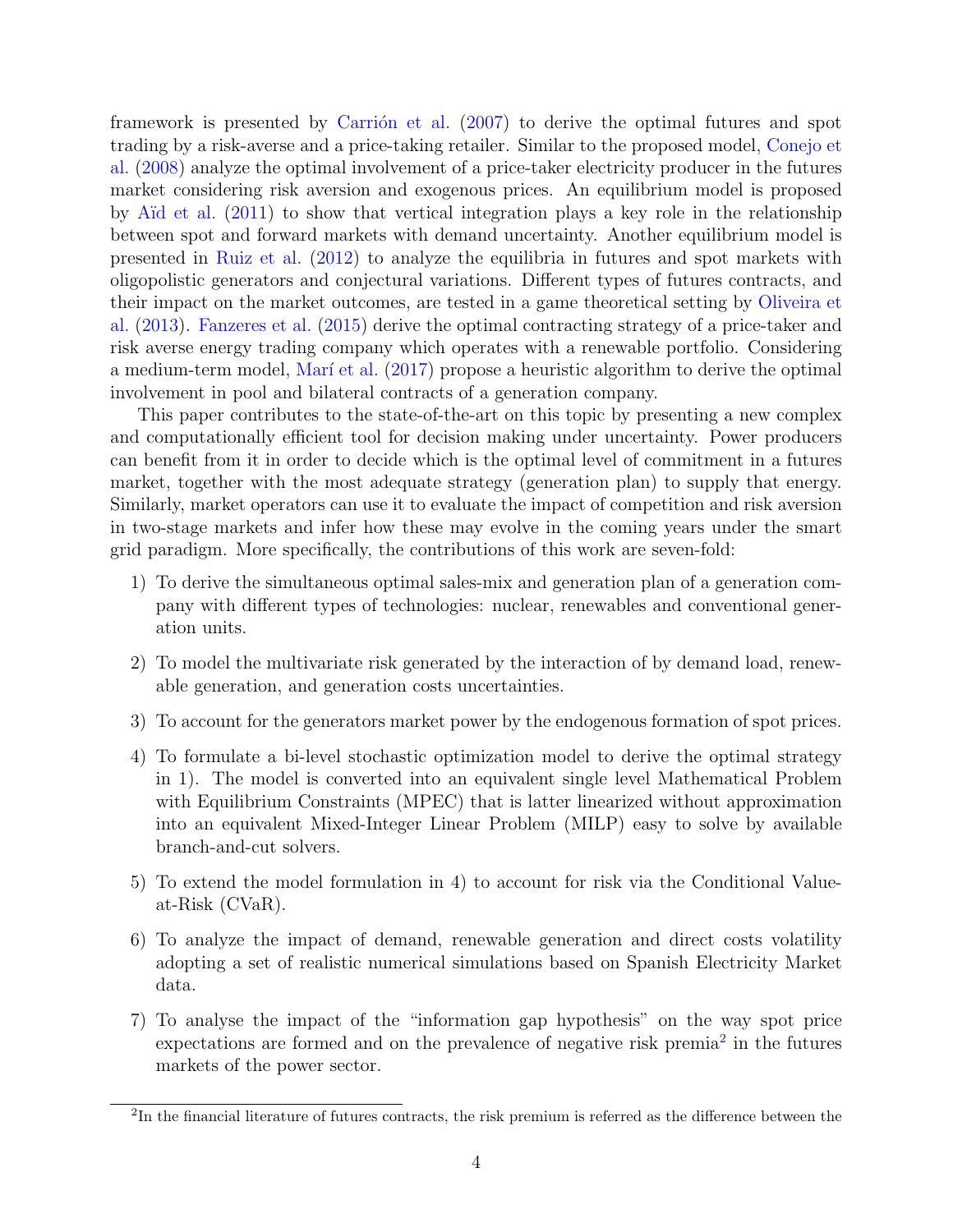framework is presented by Carrión et al.  $(2007)$  to derive the optimal futures and spot trading by a risk-averse and a price-taking retailer. Similar to the proposed model, [Conejo et](#page-22-9) [al.](#page-22-9) [\(2008\)](#page-22-9) analyze the optimal involvement of a price-taker electricity producer in the futures market considering risk aversion and exogenous prices. An equilibrium model is proposed by [A¨ıd et al.](#page-21-7) [\(2011\)](#page-21-7) to show that vertical integration plays a key role in the relationship between spot and forward markets with demand uncertainty. Another equilibrium model is presented in [Ruiz et al.](#page-23-3) [\(2012\)](#page-23-3) to analyze the equilibria in futures and spot markets with oligopolistic generators and conjectural variations. Different types of futures contracts, and their impact on the market outcomes, are tested in a game theoretical setting by [Oliveira et](#page-23-4) [al.](#page-23-4) [\(2013\)](#page-23-4). [Fanzeres et al.](#page-22-10) [\(2015\)](#page-22-10) derive the optimal contracting strategy of a price-taker and risk averse energy trading company which operates with a renewable portfolio. Considering a medium-term model, Marí et al. [\(2017\)](#page-22-11) propose a heuristic algorithm to derive the optimal involvement in pool and bilateral contracts of a generation company.

This paper contributes to the state-of-the-art on this topic by presenting a new complex and computationally efficient tool for decision making under uncertainty. Power producers can benefit from it in order to decide which is the optimal level of commitment in a futures market, together with the most adequate strategy (generation plan) to supply that energy. Similarly, market operators can use it to evaluate the impact of competition and risk aversion in two-stage markets and infer how these may evolve in the coming years under the smart grid paradigm. More specifically, the contributions of this work are seven-fold:

- 1) To derive the simultaneous optimal sales-mix and generation plan of a generation company with different types of technologies: nuclear, renewables and conventional generation units.
- 2) To model the multivariate risk generated by the interaction of by demand load, renewable generation, and generation costs uncertainties.
- 3) To account for the generators market power by the endogenous formation of spot prices.
- 4) To formulate a bi-level stochastic optimization model to derive the optimal strategy in 1). The model is converted into an equivalent single level Mathematical Problem with Equilibrium Constraints (MPEC) that is latter linearized without approximation into an equivalent Mixed-Integer Linear Problem (MILP) easy to solve by available branch-and-cut solvers.
- 5) To extend the model formulation in 4) to account for risk via the Conditional Valueat-Risk (CVaR).
- 6) To analyze the impact of demand, renewable generation and direct costs volatility adopting a set of realistic numerical simulations based on Spanish Electricity Market data.
- 7) To analyse the impact of the "information gap hypothesis" on the way spot price expectations are formed and on the prevalence of negative risk premia<sup>[2](#page-3-0)</sup> in the futures markets of the power sector.

<span id="page-3-0"></span><sup>&</sup>lt;sup>2</sup>In the financial literature of futures contracts, the risk premium is referred as the difference between the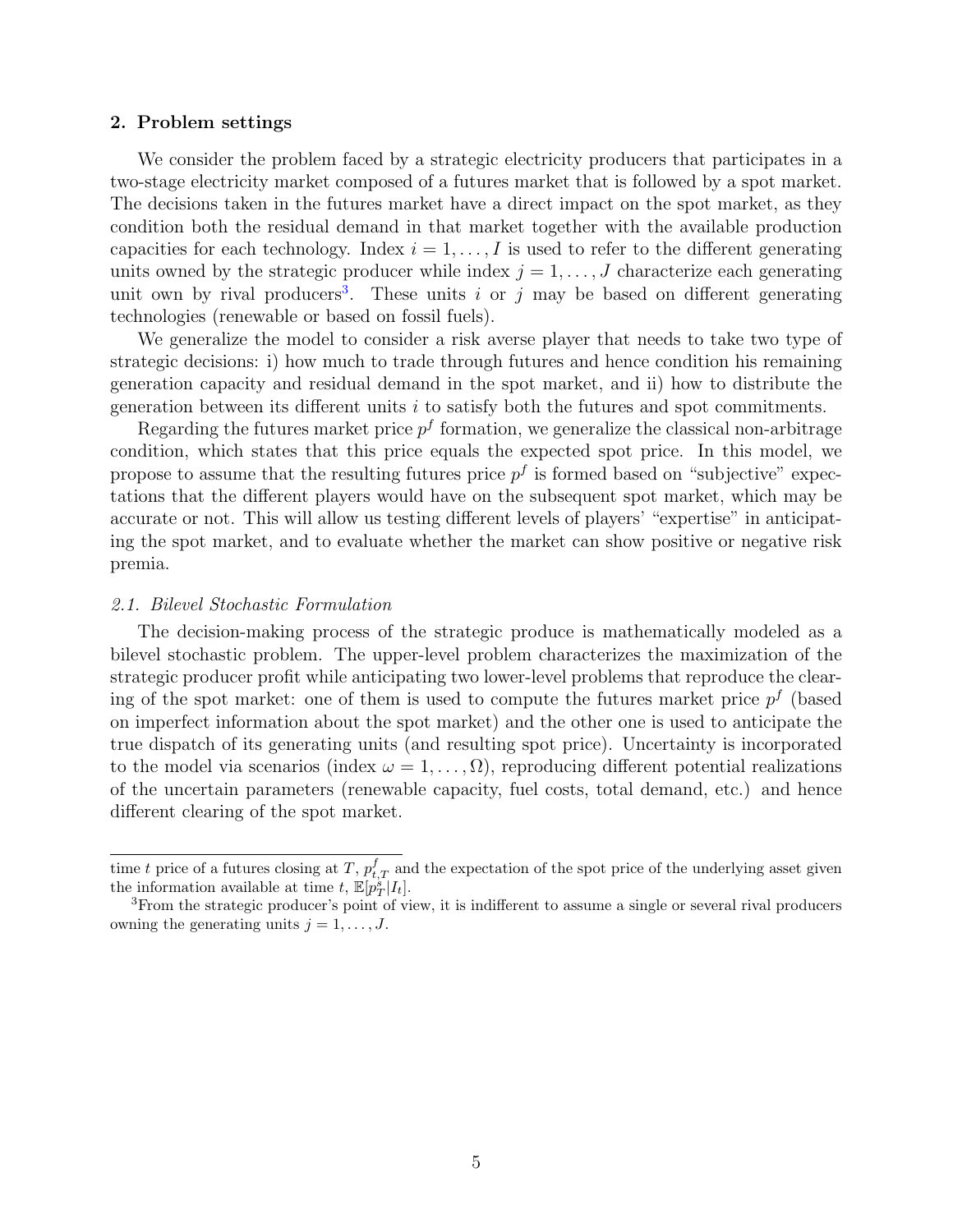#### 2. Problem settings

We consider the problem faced by a strategic electricity producers that participates in a two-stage electricity market composed of a futures market that is followed by a spot market. The decisions taken in the futures market have a direct impact on the spot market, as they condition both the residual demand in that market together with the available production capacities for each technology. Index  $i = 1, \ldots, I$  is used to refer to the different generating units owned by the strategic producer while index  $j = 1, \ldots, J$  characterize each generating unit own by rival producers<sup>[3](#page-4-0)</sup>. These units i or j may be based on different generating technologies (renewable or based on fossil fuels).

We generalize the model to consider a risk averse player that needs to take two type of strategic decisions: i) how much to trade through futures and hence condition his remaining generation capacity and residual demand in the spot market, and ii) how to distribute the generation between its different units  $i$  to satisfy both the futures and spot commitments.

Regarding the futures market price  $p<sup>f</sup>$  formation, we generalize the classical non-arbitrage condition, which states that this price equals the expected spot price. In this model, we propose to assume that the resulting futures price  $p<sup>f</sup>$  is formed based on "subjective" expectations that the different players would have on the subsequent spot market, which may be accurate or not. This will allow us testing different levels of players' "expertise" in anticipating the spot market, and to evaluate whether the market can show positive or negative risk premia.

#### 2.1. Bilevel Stochastic Formulation

The decision-making process of the strategic produce is mathematically modeled as a bilevel stochastic problem. The upper-level problem characterizes the maximization of the strategic producer profit while anticipating two lower-level problems that reproduce the clearing of the spot market: one of them is used to compute the futures market price  $p<sup>f</sup>$  (based on imperfect information about the spot market) and the other one is used to anticipate the true dispatch of its generating units (and resulting spot price). Uncertainty is incorporated to the model via scenarios (index  $\omega = 1, \ldots, \Omega$ ), reproducing different potential realizations of the uncertain parameters (renewable capacity, fuel costs, total demand, etc.) and hence different clearing of the spot market.

time t price of a futures closing at T,  $p_{t,T}^f$  and the expectation of the spot price of the underlying asset given the information available at time t,  $\mathbb{E}[p_T^s|I_t].$ 

<span id="page-4-0"></span><sup>3</sup>From the strategic producer's point of view, it is indifferent to assume a single or several rival producers owning the generating units  $j = 1, \ldots, J$ .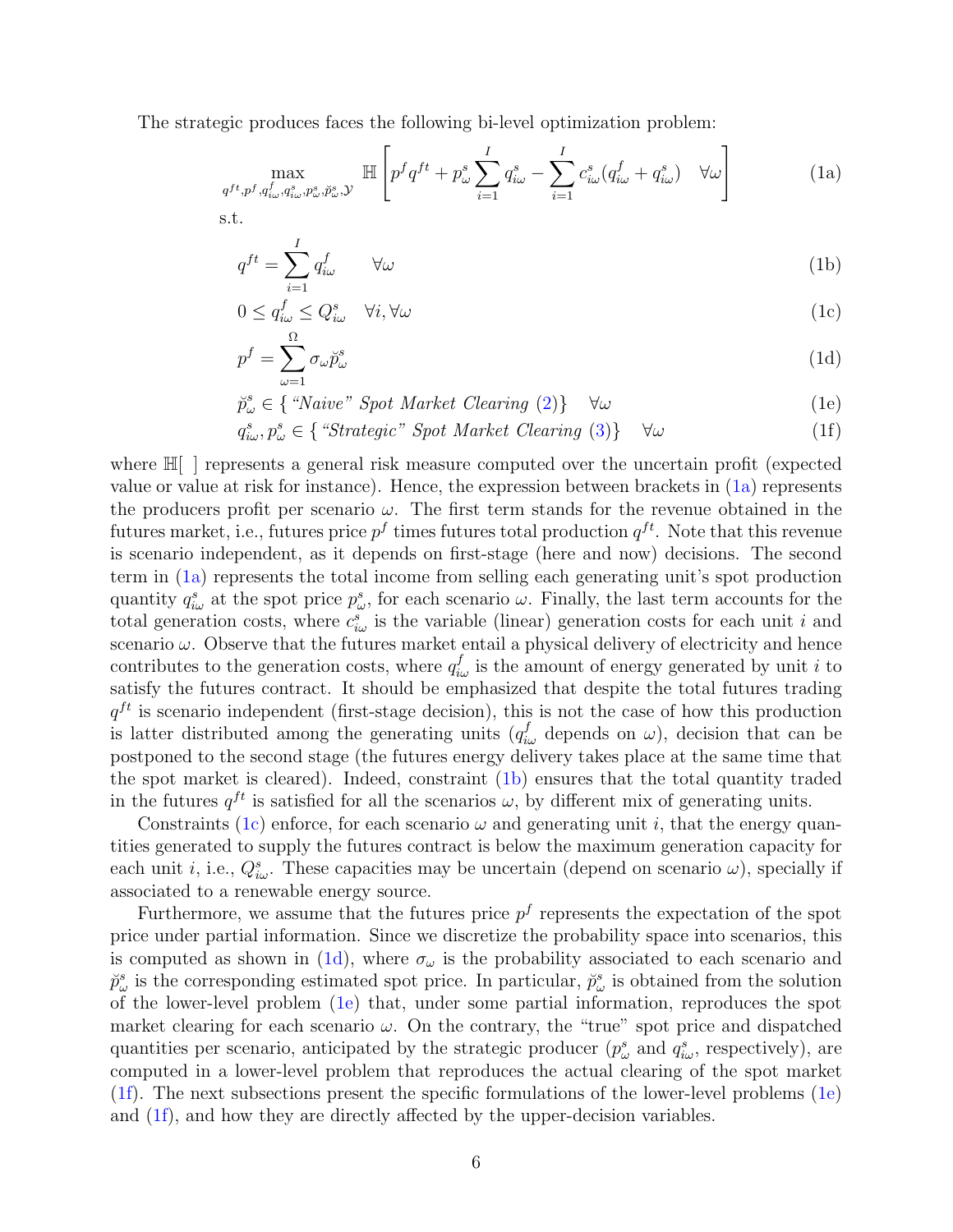The strategic produces faces the following bi-level optimization problem:

<span id="page-5-6"></span>
$$
\max_{q^{ft}, p^f, q^f_{i\omega}, q^s_{i\omega}, p^s_{\omega}, \breve{p}^s_{\omega}, \mathcal{Y}} \mathbb{H}\left[p^f q^{ft} + p^s_{\omega} \sum_{i=1}^I q^s_{i\omega} - \sum_{i=1}^I c^s_{i\omega} (q^f_{i\omega} + q^s_{i\omega}) \quad \forall \omega\right]
$$
(1a)

s.t.

<span id="page-5-1"></span><span id="page-5-0"></span>
$$
q^{ft} = \sum_{i=1}^{I} q_{i\omega}^f \qquad \forall \omega \tag{1b}
$$

<span id="page-5-3"></span><span id="page-5-2"></span>
$$
0 \le q_{i\omega}^f \le Q_{i\omega}^s \quad \forall i, \forall \omega \tag{1c}
$$

$$
p^f = \sum_{\omega=1}^{\Omega} \sigma_{\omega} \breve{p}^s_{\omega} \tag{1d}
$$

<span id="page-5-5"></span><span id="page-5-4"></span>
$$
\breve{p}^s_{\omega} \in \{ \text{``Naive''} \text{ Spot Market Clearing (2)} \} \quad \forall \omega \tag{1e}
$$

$$
q_{i\omega}^{s}, p_{\omega}^{s} \in \{ \text{``Strategic'' } Sport \text{ Market Clearing (3)} \} \quad \forall \omega \tag{1f}
$$

where H[ ] represents a general risk measure computed over the uncertain profit (expected value or value at risk for instance). Hence, the expression between brackets in [\(1a\)](#page-5-0) represents the producers profit per scenario  $\omega$ . The first term stands for the revenue obtained in the futures market, i.e., futures price  $p^f$  times futures total production  $q^{ft}$ . Note that this revenue is scenario independent, as it depends on first-stage (here and now) decisions. The second term in [\(1a\)](#page-5-0) represents the total income from selling each generating unit's spot production quantity  $q_{i\omega}^s$  at the spot price  $p_{\omega}^s$ , for each scenario  $\omega$ . Finally, the last term accounts for the total generation costs, where  $c_{i\omega}^s$  is the variable (linear) generation costs for each unit i and scenario  $\omega$ . Observe that the futures market entail a physical delivery of electricity and hence contributes to the generation costs, where  $q_{i\omega}^f$  is the amount of energy generated by unit i to satisfy the futures contract. It should be emphasized that despite the total futures trading  $q^{ft}$  is scenario independent (first-stage decision), this is not the case of how this production is latter distributed among the generating units  $(q_{i\omega}^f$  depends on  $\omega)$ , decision that can be postponed to the second stage (the futures energy delivery takes place at the same time that the spot market is cleared). Indeed, constraint [\(1b\)](#page-5-1) ensures that the total quantity traded in the futures  $q^{ft}$  is satisfied for all the scenarios  $\omega$ , by different mix of generating units.

Constraints [\(1c\)](#page-5-2) enforce, for each scenario  $\omega$  and generating unit i, that the energy quantities generated to supply the futures contract is below the maximum generation capacity for each unit *i*, i.e.,  $Q_{i\omega}^s$ . These capacities may be uncertain (depend on scenario  $\omega$ ), specially if associated to a renewable energy source.

Furthermore, we assume that the futures price  $p<sup>f</sup>$  represents the expectation of the spot price under partial information. Since we discretize the probability space into scenarios, this is computed as shown in [\(1d\)](#page-5-3), where  $\sigma_{\omega}$  is the probability associated to each scenario and  $\check{p}^s_\omega$  is the corresponding estimated spot price. In particular,  $\check{p}^s_\omega$  is obtained from the solution of the lower-level problem [\(1e\)](#page-5-4) that, under some partial information, reproduces the spot market clearing for each scenario  $\omega$ . On the contrary, the "true" spot price and dispatched quantities per scenario, anticipated by the strategic producer  $(p_{\omega}^s \text{ and } q_{i\omega}^s \text{, respectively})$ , are computed in a lower-level problem that reproduces the actual clearing of the spot market [\(1f\)](#page-5-5). The next subsections present the specific formulations of the lower-level problems [\(1e\)](#page-5-4) and [\(1f\)](#page-5-5), and how they are directly affected by the upper-decision variables.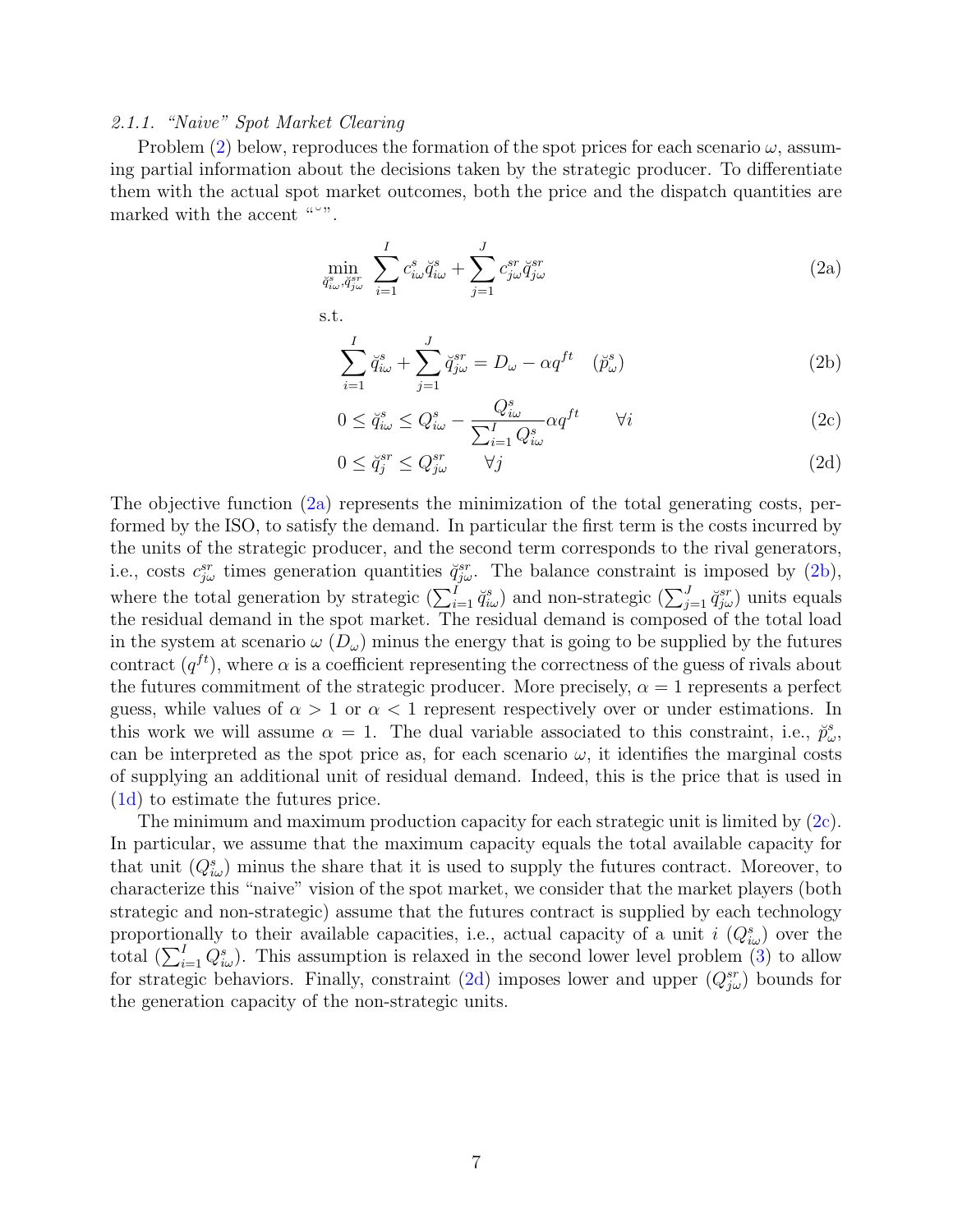# 2.1.1. "Naive" Spot Market Clearing

Problem [\(2\)](#page-6-0) below, reproduces the formation of the spot prices for each scenario  $\omega$ , assuming partial information about the decisions taken by the strategic producer. To differentiate them with the actual spot market outcomes, both the price and the dispatch quantities are marked with the accent """.

<span id="page-6-0"></span>
$$
\min_{\check{q}^s_{i\omega},\check{q}^{sr}_{j\omega}} \sum_{i=1}^I c^s_{i\omega} \check{q}^s_{i\omega} + \sum_{j=1}^J c^{sr}_{j\omega} \check{q}^{sr}_{j\omega}
$$
\n(2a)

s.t.

<span id="page-6-2"></span><span id="page-6-1"></span>
$$
\sum_{i=1}^{I} \breve{q}^s_{i\omega} + \sum_{j=1}^{J} \breve{q}^{sr}_{j\omega} = D_{\omega} - \alpha q^{ft} \quad (\breve{p}^s_{\omega})
$$
 (2b)

<span id="page-6-3"></span>
$$
0 \le \breve{q}_{i\omega}^s \le Q_{i\omega}^s - \frac{Q_{i\omega}^s}{\sum_{i=1}^I Q_{i\omega}^s} \alpha q^{ft} \qquad \forall i \tag{2c}
$$

<span id="page-6-4"></span>
$$
0 \le \breve{q}_j^{sr} \le Q_{j\omega}^{sr} \qquad \forall j \tag{2d}
$$

The objective function [\(2a\)](#page-6-1) represents the minimization of the total generating costs, performed by the ISO, to satisfy the demand. In particular the first term is the costs incurred by the units of the strategic producer, and the second term corresponds to the rival generators, i.e., costs  $c_{j\omega}^{sr}$  times generation quantities  $\breve{q}_{j\omega}^{sr}$ . The balance constraint is imposed by [\(2b\)](#page-6-2), where the total generation by strategic  $(\sum_{i=1}^{I} \breve{q}_{i\omega}^{s})$  and non-strategic  $(\sum_{j=1}^{J} \breve{q}_{j\omega}^{sr})$  units equals the residual demand in the spot market. The residual demand is composed of the total load in the system at scenario  $\omega$  ( $D_{\omega}$ ) minus the energy that is going to be supplied by the futures contract  $(q^{ft})$ , where  $\alpha$  is a coefficient representing the correctness of the guess of rivals about the futures commitment of the strategic producer. More precisely,  $\alpha = 1$  represents a perfect guess, while values of  $\alpha > 1$  or  $\alpha < 1$  represent respectively over or under estimations. In this work we will assume  $\alpha = 1$ . The dual variable associated to this constraint, i.e.,  $\ddot{p}^s_{\omega}$ , can be interpreted as the spot price as, for each scenario  $\omega$ , it identifies the marginal costs of supplying an additional unit of residual demand. Indeed, this is the price that is used in [\(1d\)](#page-5-3) to estimate the futures price.

The minimum and maximum production capacity for each strategic unit is limited by  $(2c)$ . In particular, we assume that the maximum capacity equals the total available capacity for that unit  $(Q_{i\omega}^s)$  minus the share that it is used to supply the futures contract. Moreover, to characterize this "naive" vision of the spot market, we consider that the market players (both strategic and non-strategic) assume that the futures contract is supplied by each technology proportionally to their available capacities, i.e., actual capacity of a unit  $i(Q_{i\omega}^s)$  over the total  $(\sum_{i=1}^{I} Q_{i\omega}^{s})$ . This assumption is relaxed in the second lower level problem [\(3\)](#page-7-0) to allow for strategic behaviors. Finally, constraint [\(2d\)](#page-6-4) imposes lower and upper  $(Q_{j\omega}^{sr})$  bounds for the generation capacity of the non-strategic units.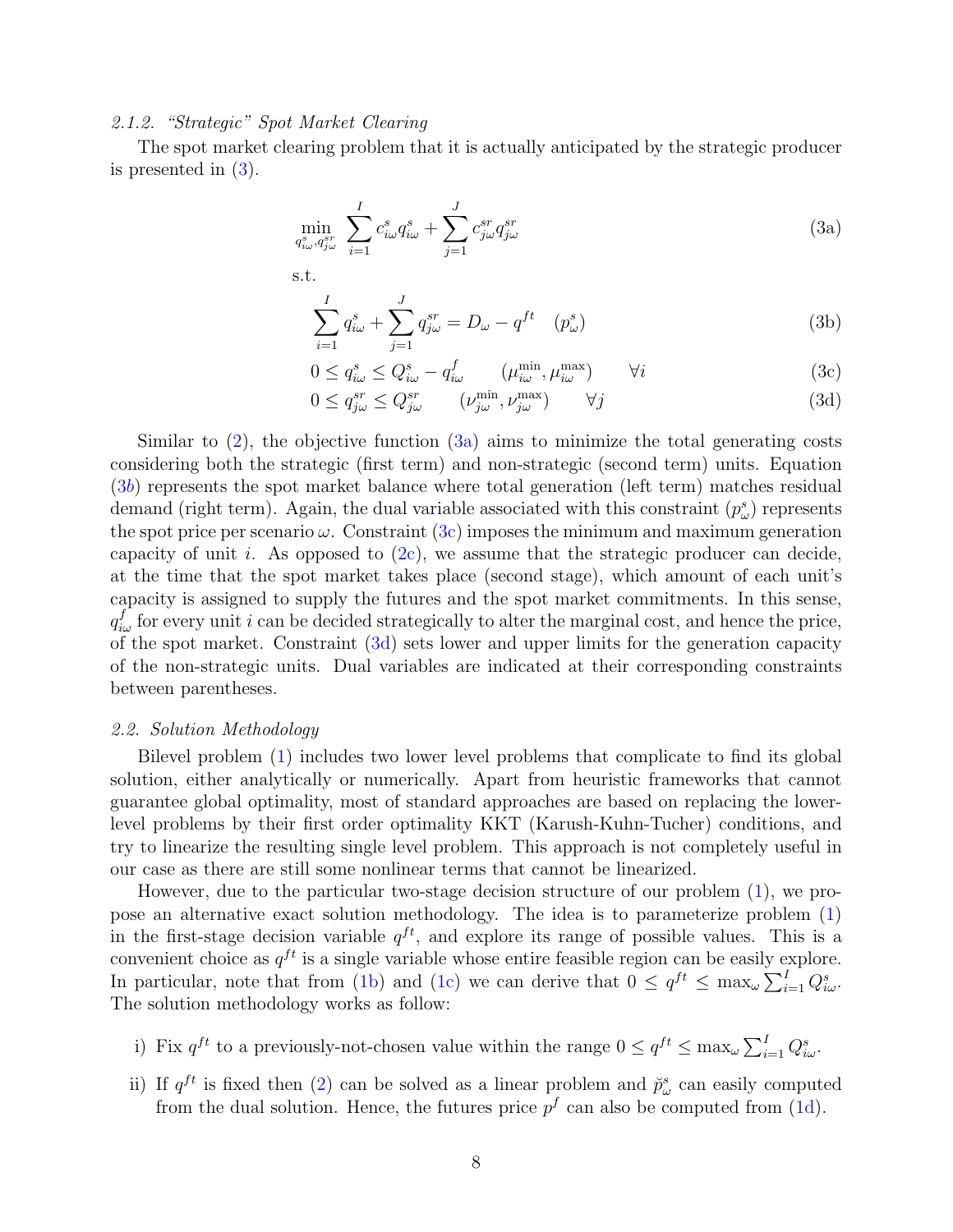# 2.1.2. "Strategic" Spot Market Clearing

The spot market clearing problem that it is actually anticipated by the strategic producer is presented in [\(3\)](#page-7-0).

<span id="page-7-0"></span>
$$
\min_{q_{i\omega}^s, q_{j\omega}^{sr}} \sum_{i=1}^I c_{i\omega}^s q_{i\omega}^s + \sum_{j=1}^J c_{j\omega}^{sr} q_{j\omega}^{sr} \tag{3a}
$$

s.t.

<span id="page-7-3"></span><span id="page-7-2"></span><span id="page-7-1"></span>
$$
\sum_{i=1}^{I} q_{i\omega}^{s} + \sum_{j=1}^{J} q_{j\omega}^{sr} = D_{\omega} - q^{ft} \quad (p_{\omega}^{s})
$$
 (3b)

$$
0 \le q_{i\omega}^s \le Q_{i\omega}^s - q_{i\omega}^f \qquad (\mu_{i\omega}^{\min}, \mu_{i\omega}^{\max}) \qquad \forall i
$$
 (3c)

<span id="page-7-4"></span>
$$
0 \le q_{j\omega}^{sr} \le Q_{j\omega}^{sr} \qquad (\nu_{j\omega}^{\min}, \nu_{j\omega}^{\max}) \qquad \forall j \tag{3d}
$$

Similar to  $(2)$ , the objective function  $(3a)$  aims to minimize the total generating costs considering both the strategic (first term) and non-strategic (second term) units. Equation  $(3b)$  $(3b)$  represents the spot market balance where total generation (left term) matches residual demand (right term). Again, the dual variable associated with this constraint  $(p^s_\omega)$  represents the spot price per scenario  $\omega$ . Constraint  $(3c)$  imposes the minimum and maximum generation capacity of unit i. As opposed to  $(2c)$ , we assume that the strategic producer can decide, at the time that the spot market takes place (second stage), which amount of each unit's capacity is assigned to supply the futures and the spot market commitments. In this sense,  $q_{i\omega}^f$  for every unit i can be decided strategically to alter the marginal cost, and hence the price, of the spot market. Constraint [\(3d\)](#page-7-4) sets lower and upper limits for the generation capacity of the non-strategic units. Dual variables are indicated at their corresponding constraints between parentheses.

#### <span id="page-7-5"></span>2.2. Solution Methodology

Bilevel problem [\(1\)](#page-5-6) includes two lower level problems that complicate to find its global solution, either analytically or numerically. Apart from heuristic frameworks that cannot guarantee global optimality, most of standard approaches are based on replacing the lowerlevel problems by their first order optimality KKT (Karush-Kuhn-Tucher) conditions, and try to linearize the resulting single level problem. This approach is not completely useful in our case as there are still some nonlinear terms that cannot be linearized.

However, due to the particular two-stage decision structure of our problem [\(1\)](#page-5-6), we propose an alternative exact solution methodology. The idea is to parameterize problem [\(1\)](#page-5-6) in the first-stage decision variable  $q^{ft}$ , and explore its range of possible values. This is a convenient choice as  $q^{ft}$  is a single variable whose entire feasible region can be easily explore. In particular, note that from [\(1b\)](#page-5-1) and [\(1c\)](#page-5-2) we can derive that  $0 \leq q^{ft} \leq \max_{\omega} \sum_{i=1}^{I} Q_{i\omega}^{s}$ . The solution methodology works as follow:

- i) Fix  $q^{ft}$  to a previously-not-chosen value within the range  $0 \leq q^{ft} \leq \max_{\omega} \sum_{i=1}^{I} Q_{i\omega}^s$ .
- ii) If  $q^{ft}$  is fixed then [\(2\)](#page-6-0) can be solved as a linear problem and  $\tilde{p}^s_\omega$  can easily computed from the dual solution. Hence, the futures price  $p<sup>f</sup>$  can also be computed from [\(1d\)](#page-5-3).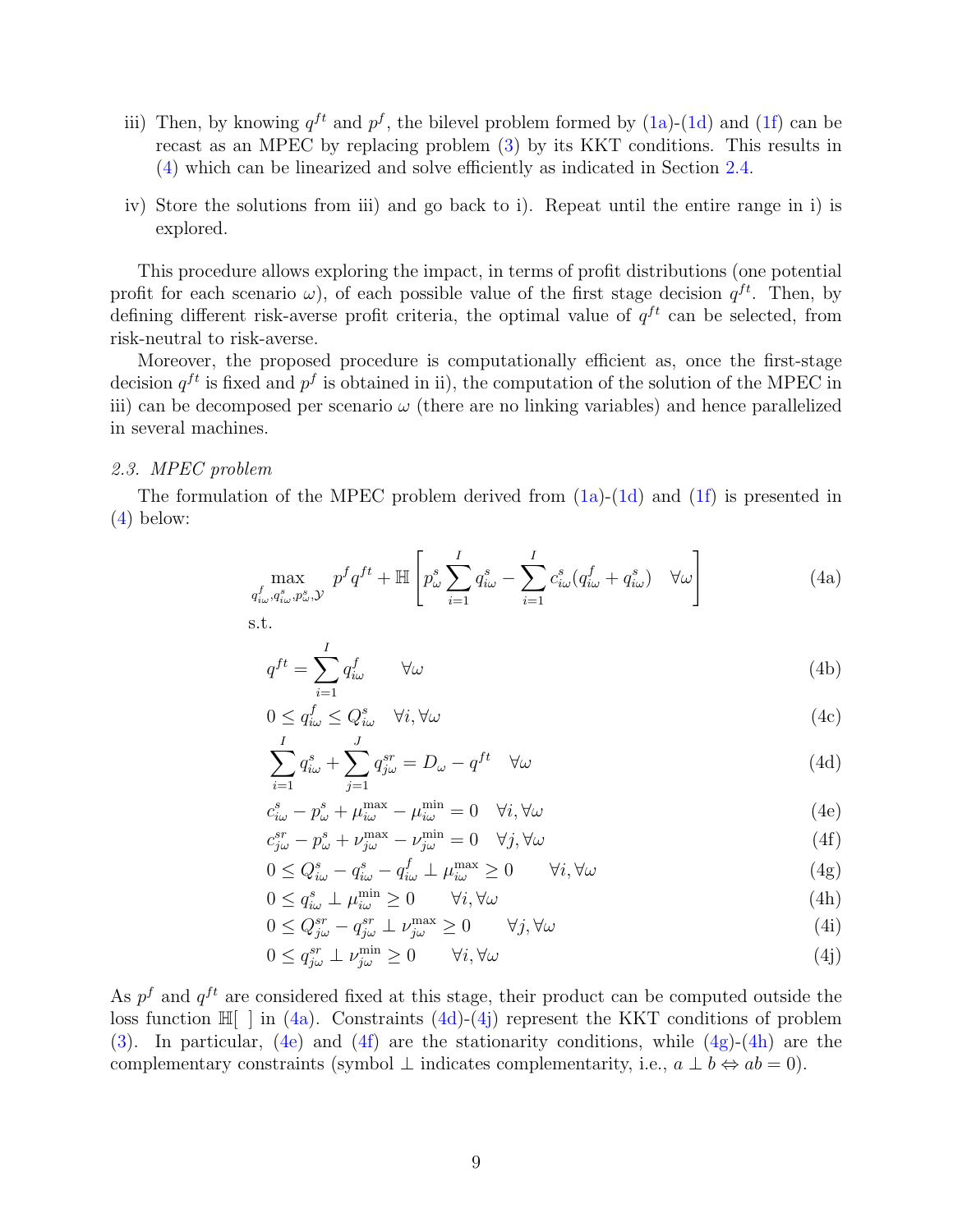- iii) Then, by knowing  $q^{ft}$  and  $p^f$ , the bilevel problem formed by [\(1a\)](#page-5-0)-[\(1d\)](#page-5-3) and [\(1f\)](#page-5-5) can be recast as an MPEC by replacing problem [\(3\)](#page-7-0) by its KKT conditions. This results in [\(4\)](#page-8-0) which can be linearized and solve efficiently as indicated in Section [2.4.](#page-9-0)
- iv) Store the solutions from iii) and go back to i). Repeat until the entire range in i) is explored.

This procedure allows exploring the impact, in terms of profit distributions (one potential profit for each scenario  $\omega$ ), of each possible value of the first stage decision  $q^{ft}$ . Then, by defining different risk-averse profit criteria, the optimal value of  $q^{ft}$  can be selected, from risk-neutral to risk-averse.

Moreover, the proposed procedure is computationally efficient as, once the first-stage decision  $q^{ft}$  is fixed and  $p^f$  is obtained in ii), the computation of the solution of the MPEC in iii) can be decomposed per scenario  $\omega$  (there are no linking variables) and hence parallelized in several machines.

#### 2.3. MPEC problem

The formulation of the MPEC problem derived from [\(1a\)](#page-5-0)-[\(1d\)](#page-5-3) and [\(1f\)](#page-5-5) is presented in [\(4\)](#page-8-0) below:

<span id="page-8-0"></span>
$$
\max_{q_{i\omega}^f, q_{i\omega}^s, p_{\omega}^s, \mathcal{Y}} \ p^f q^{ft} + \mathbb{H} \left[ p_{\omega}^s \sum_{i=1}^I q_{i\omega}^s - \sum_{i=1}^I c_{i\omega}^s (q_{i\omega}^f + q_{i\omega}^s) \quad \forall \omega \right]
$$
(4a)

s.t.

<span id="page-8-1"></span>
$$
q^{ft} = \sum_{i=1}^{I} q_{i\omega}^f \qquad \forall \omega \tag{4b}
$$

$$
0 \le q_{i\omega}^f \le Q_{i\omega}^s \quad \forall i, \forall \omega \tag{4c}
$$

<span id="page-8-2"></span>
$$
\sum_{i=1}^{I} q_{i\omega}^{s} + \sum_{j=1}^{J} q_{j\omega}^{sr} = D_{\omega} - q^{ft} \quad \forall \omega
$$
\n(4d)

<span id="page-8-5"></span><span id="page-8-4"></span>
$$
c_{i\omega}^s - p_{\omega}^s + \mu_{i\omega}^{\max} - \mu_{i\omega}^{\min} = 0 \quad \forall i, \forall \omega
$$
 (4e)

$$
c_{j\omega}^{sr} - p_{\omega}^s + \nu_{j\omega}^{\max} - \nu_{j\omega}^{\min} = 0 \quad \forall j, \forall \omega \tag{4f}
$$

$$
0 \le Q_{i\omega}^s - q_{i\omega}^s - q_{i\omega}^f \perp \mu_{i\omega}^{\max} \ge 0 \qquad \forall i, \forall \omega
$$
\n
$$
(4g)
$$

<span id="page-8-8"></span><span id="page-8-7"></span><span id="page-8-6"></span>
$$
0 \le q_{i\omega}^s \perp \mu_{i\omega}^{\min} \ge 0 \qquad \forall i, \forall \omega \tag{4h}
$$

$$
0 \le Q_{j\omega}^{sr} - q_{j\omega}^{sr} \perp \nu_{j\omega}^{\max} \ge 0 \qquad \forall j, \forall \omega \tag{4i}
$$

<span id="page-8-3"></span>
$$
0 \le q_{j\omega}^{sr} \perp \nu_{j\omega}^{\min} \ge 0 \qquad \forall i, \forall \omega \tag{4}
$$

As  $p<sup>f</sup>$  and  $q<sup>ft</sup>$  are considered fixed at this stage, their product can be computed outside the loss function  $\mathbb{H}$  | in [\(4a\)](#page-8-1). Constraints [\(4d\)](#page-8-2)-[\(4j\)](#page-8-3) represent the KKT conditions of problem [\(3\)](#page-7-0). In particular, [\(4e\)](#page-8-4) and [\(4f\)](#page-8-5) are the stationarity conditions, while [\(4g\)](#page-8-6)-[\(4h\)](#page-8-7) are the complementary constraints (symbol  $\perp$  indicates complementarity, i.e.,  $a \perp b \Leftrightarrow ab = 0$ ).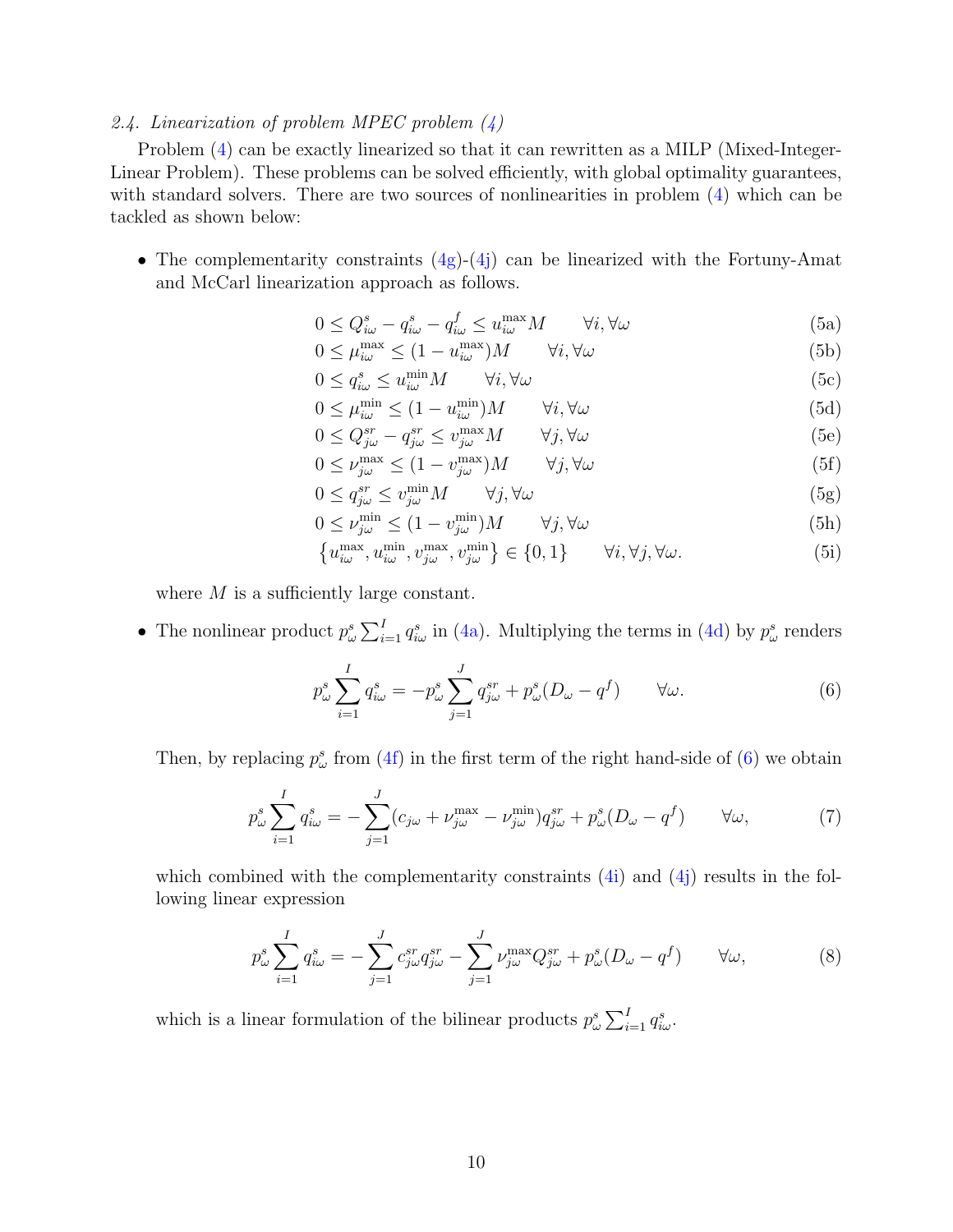## <span id="page-9-0"></span>2.4. Linearization of problem MPEC problem  $(4)$

Problem [\(4\)](#page-8-0) can be exactly linearized so that it can rewritten as a MILP (Mixed-Integer-Linear Problem). These problems can be solved efficiently, with global optimality guarantees, with standard solvers. There are two sources of nonlinearities in problem [\(4\)](#page-8-0) which can be tackled as shown below:

• The complementarity constraints  $(4g)-(4j)$  $(4g)-(4j)$  $(4g)-(4j)$  can be linearized with the Fortuny-Amat and McCarl linearization approach as follows.

$$
0 \le Q_{i\omega}^s - q_{i\omega}^s - q_{i\omega}^f \le u_{i\omega}^{\max} M \qquad \forall i, \forall \omega
$$
 (5a)

- $0 \leq \mu_{i\omega}^{\max} \leq (1 u_{i\omega}^{\max})M$   $\forall i, \forall \omega$  (5b)
- $0 \le q_{i\omega}^s \le u_{i\omega}^{\min} M \qquad \forall i, \forall \omega$  (5c)

$$
0 \le \mu_{i\omega}^{\min} \le (1 - u_{i\omega}^{\min})M \qquad \forall i, \forall \omega \tag{5d}
$$

$$
0 \le Q_{j\omega}^{sr} - q_{j\omega}^{sr} \le v_{j\omega}^{\max} M \qquad \forall j, \forall \omega \tag{5e}
$$

$$
0 \le \nu_{j\omega}^{\max} \le (1 - \nu_{j\omega}^{\max})M \qquad \forall j, \forall \omega \tag{5f}
$$

$$
0 \le q_{j\omega}^{sr} \le v_{j\omega}^{\min} M \qquad \forall j, \forall \omega \tag{5g}
$$

$$
0 \le \nu_{j\omega}^{\min} \le (1 - \nu_{j\omega}^{\min})M \qquad \forall j, \forall \omega \tag{5h}
$$

$$
\left\{ u_{i\omega}^{\max}, u_{i\omega}^{\min}, v_{j\omega}^{\max}, v_{j\omega}^{\min} \right\} \in \left\{ 0, 1 \right\} \qquad \forall i, \forall j, \forall \omega.
$$
 (5i)

where  $M$  is a sufficiently large constant.

• The nonlinear product  $p_\omega^s \sum_{i=1}^I q_{i\omega}^s$  in [\(4a\)](#page-8-1). Multiplying the terms in [\(4d\)](#page-8-2) by  $p_\omega^s$  renders

<span id="page-9-1"></span>
$$
p_{\omega}^s \sum_{i=1}^I q_{i\omega}^s = -p_{\omega}^s \sum_{j=1}^J q_{j\omega}^{sr} + p_{\omega}^s (D_{\omega} - q^f) \qquad \forall \omega.
$$
 (6)

Then, by replacing  $p^s_\omega$  from [\(4f\)](#page-8-5) in the first term of the right hand-side of [\(6\)](#page-9-1) we obtain

$$
p_{\omega}^s \sum_{i=1}^I q_{i\omega}^s = -\sum_{j=1}^J (c_{j\omega} + \nu_{j\omega}^{\max} - \nu_{j\omega}^{\min}) q_{j\omega}^{sr} + p_{\omega}^s (D_{\omega} - q^f) \qquad \forall \omega,
$$
 (7)

which combined with the complementarity constraints  $(4i)$  and  $(4j)$  results in the following linear expression

$$
p_{\omega}^s \sum_{i=1}^I q_{i\omega}^s = -\sum_{j=1}^J c_{j\omega}^{sr} q_{j\omega}^{sr} - \sum_{j=1}^J \nu_{j\omega}^{\max} Q_{j\omega}^{sr} + p_{\omega}^s (D_{\omega} - q^f) \qquad \forall \omega,
$$
\n
$$
(8)
$$

which is a linear formulation of the bilinear products  $p_{\omega}^{s} \sum_{i=1}^{I} q_{i\omega}^{s}$ .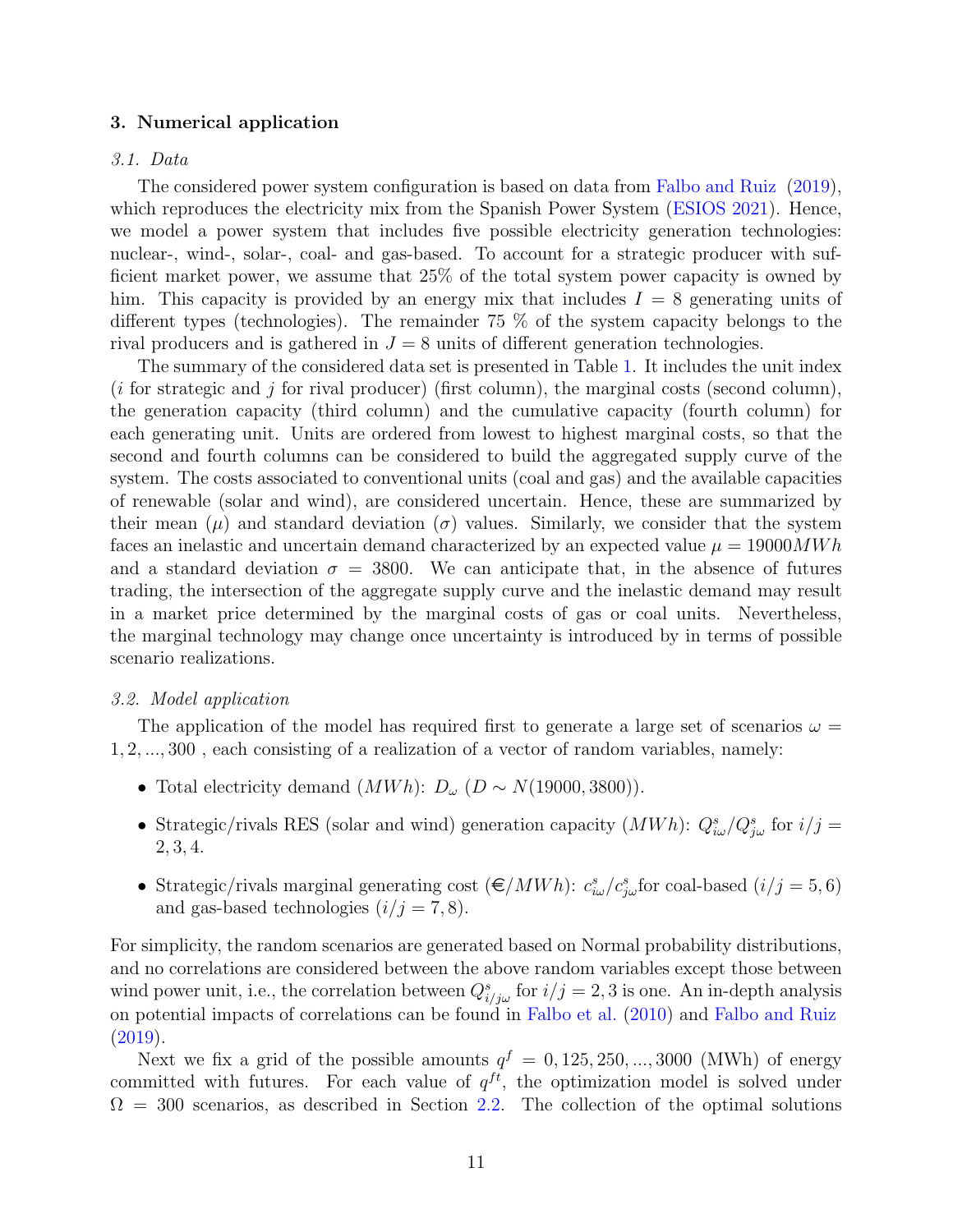#### 3. Numerical application

#### 3.1. Data

The considered power system configuration is based on data from [Falbo and Ruiz](#page-22-0) [\(2019\)](#page-22-0), which reproduces the electricity mix from the Spanish Power System [\(ESIOS](#page-22-12) [2021\)](#page-22-12). Hence, we model a power system that includes five possible electricity generation technologies: nuclear-, wind-, solar-, coal- and gas-based. To account for a strategic producer with sufficient market power, we assume that 25% of the total system power capacity is owned by him. This capacity is provided by an energy mix that includes  $I = 8$  generating units of different types (technologies). The remainder 75 % of the system capacity belongs to the rival producers and is gathered in  $J = 8$  units of different generation technologies.

The summary of the considered data set is presented in Table [1.](#page-11-0) It includes the unit index  $(i$  for strategic and j for rival producer) (first column), the marginal costs (second column), the generation capacity (third column) and the cumulative capacity (fourth column) for each generating unit. Units are ordered from lowest to highest marginal costs, so that the second and fourth columns can be considered to build the aggregated supply curve of the system. The costs associated to conventional units (coal and gas) and the available capacities of renewable (solar and wind), are considered uncertain. Hence, these are summarized by their mean  $(\mu)$  and standard deviation  $(\sigma)$  values. Similarly, we consider that the system faces an inelastic and uncertain demand characterized by an expected value  $\mu = 19000MWh$ and a standard deviation  $\sigma = 3800$ . We can anticipate that, in the absence of futures trading, the intersection of the aggregate supply curve and the inelastic demand may result in a market price determined by the marginal costs of gas or coal units. Nevertheless, the marginal technology may change once uncertainty is introduced by in terms of possible scenario realizations.

#### 3.2. Model application

The application of the model has required first to generate a large set of scenarios  $\omega =$ 1, 2, ..., 300 , each consisting of a realization of a vector of random variables, namely:

- Total electricity demand  $(MWh)$ :  $D_{\omega}$   $(D \sim N(19000, 3800))$ .
- Strategic/rivals RES (solar and wind) generation capacity  $(MWh)$ :  $Q_{i\omega}^s/Q_{j\omega}^s$  for  $i/j =$ 2, 3, 4.
- Strategic/rivals marginal generating cost  $(\epsilon/MWh)$ :  $c_{i\omega}^s/c_{j\omega}^s$  for coal-based  $(i/j = 5, 6)$ and gas-based technologies  $(i/j = 7, 8)$ .

For simplicity, the random scenarios are generated based on Normal probability distributions, and no correlations are considered between the above random variables except those between wind power unit, i.e., the correlation between  $Q_{i/j\omega}^s$  for  $i/j = 2, 3$  is one. An in-depth analysis on potential impacts of correlations can be found in [Falbo et al.](#page-22-6) [\(2010\)](#page-22-6) and [Falbo and Ruiz](#page-22-0) [\(2019\)](#page-22-0).

Next we fix a grid of the possible amounts  $q^f = 0, 125, 250, ..., 3000$  (MWh) of energy committed with futures. For each value of  $q^{ft}$ , the optimization model is solved under  $\Omega = 300$  scenarios, as described in Section [2.2.](#page-7-5) The collection of the optimal solutions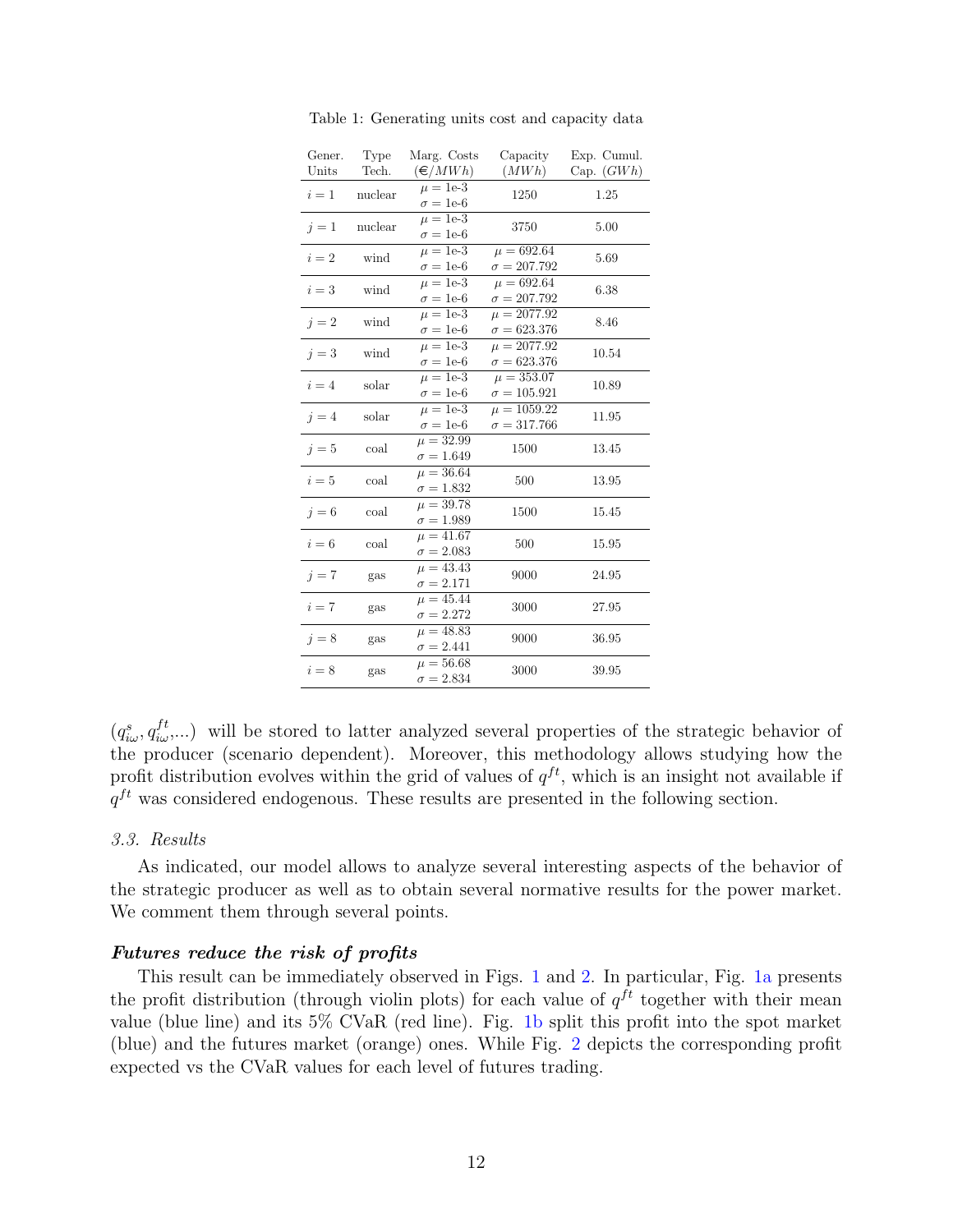<span id="page-11-0"></span>

| Gener.<br>Units | Type<br>Tech. | Marg. Costs<br>$(\in/MWh)$           | Capacity<br>(MWh)                     | Exp. Cumul.<br>Cap. $(GWh)$ |
|-----------------|---------------|--------------------------------------|---------------------------------------|-----------------------------|
| $i=1$           | nuclear       | $\mu = 1e-3$<br>$\sigma=1\text{e-}6$ | 1250                                  | 1.25                        |
| $i=1$           | nuclear       | $\mu = 1e-3$<br>$\sigma = 1e-6$      | 3750                                  | 5.00                        |
| $i=2$           | wind          | $\mu = 1e-3$<br>$\sigma = 1e-6$      | $\mu = 692.64$<br>$\sigma = 207.792$  | 5.69                        |
| $i=3$           | wind          | $\mu = 1e-3$<br>$\sigma = 1e-6$      | $\mu = 692.64$<br>$\sigma = 207.792$  | 6.38                        |
| $i=2$           | wind          | $\mu = 1e-3$<br>$\sigma = 1e-6$      | $\mu = 2077.92$<br>$\sigma = 623.376$ | 8.46                        |
| $i=3$           | wind          | $\mu = 1e-3$<br>$\sigma = 1e-6$      | $\mu = 2077.92$<br>$\sigma = 623.376$ | 10.54                       |
| $i=4$           | solar         | $\mu = 1e-3$<br>$\sigma=1\text{e-}6$ | $\mu = 353.07$<br>$\sigma = 105.921$  | 10.89                       |
| $i=4$           | solar         | $\mu = 1e-3$<br>$\sigma = 1e-6$      | $\mu = 1059.22$<br>$\sigma = 317.766$ | 11.95                       |
| $i=5$           | coal          | $\mu = 32.99$<br>$\sigma=1.649$      | 1500                                  | 13.45                       |
| $i=5$           | coal          | $\mu = 36.64$<br>$\sigma = 1.832$    | 500                                   | 13.95                       |
| $j=6$           | coal          | $\mu = 39.78$<br>$\sigma = 1.989$    | 1500                                  | 15.45                       |
| $i=6$           | coal          | $\mu = 41.67$<br>$\sigma=2.083$      | 500                                   | 15.95                       |
| $i = 7$         | gas           | $\mu = 43.43$<br>$\sigma = 2.171$    | 9000                                  | 24.95                       |
| $i=7$           | gas           | $\mu = 45.44$<br>$\sigma = 2.272$    | 3000                                  | 27.95                       |
| $i=8$           | gas           | $\mu = 48.83$<br>$\sigma = 2.441$    | 9000                                  | 36.95                       |
| $i=8$           | gas           | $\mu = 56.68$<br>$\sigma = 2.834$    | 3000                                  | 39.95                       |

Table 1: Generating units cost and capacity data

 $(q_{i\omega}^s, q_{i\omega}^{ft},...)$  will be stored to latter analyzed several properties of the strategic behavior of the producer (scenario dependent). Moreover, this methodology allows studying how the profit distribution evolves within the grid of values of  $q^{ft}$ , which is an insight not available if  $q^{ft}$  was considered endogenous. These results are presented in the following section.

#### 3.3. Results

As indicated, our model allows to analyze several interesting aspects of the behavior of the strategic producer as well as to obtain several normative results for the power market. We comment them through several points.

#### Futures reduce the risk of profits

This result can be immediately observed in Figs. [1](#page-12-0) and [2.](#page-12-1) In particular, Fig. [1a](#page-12-0) presents the profit distribution (through violin plots) for each value of  $q^{ft}$  together with their mean value (blue line) and its 5% CVaR (red line). Fig. [1b](#page-12-0) split this profit into the spot market (blue) and the futures market (orange) ones. While Fig. [2](#page-12-1) depicts the corresponding profit expected vs the CVaR values for each level of futures trading.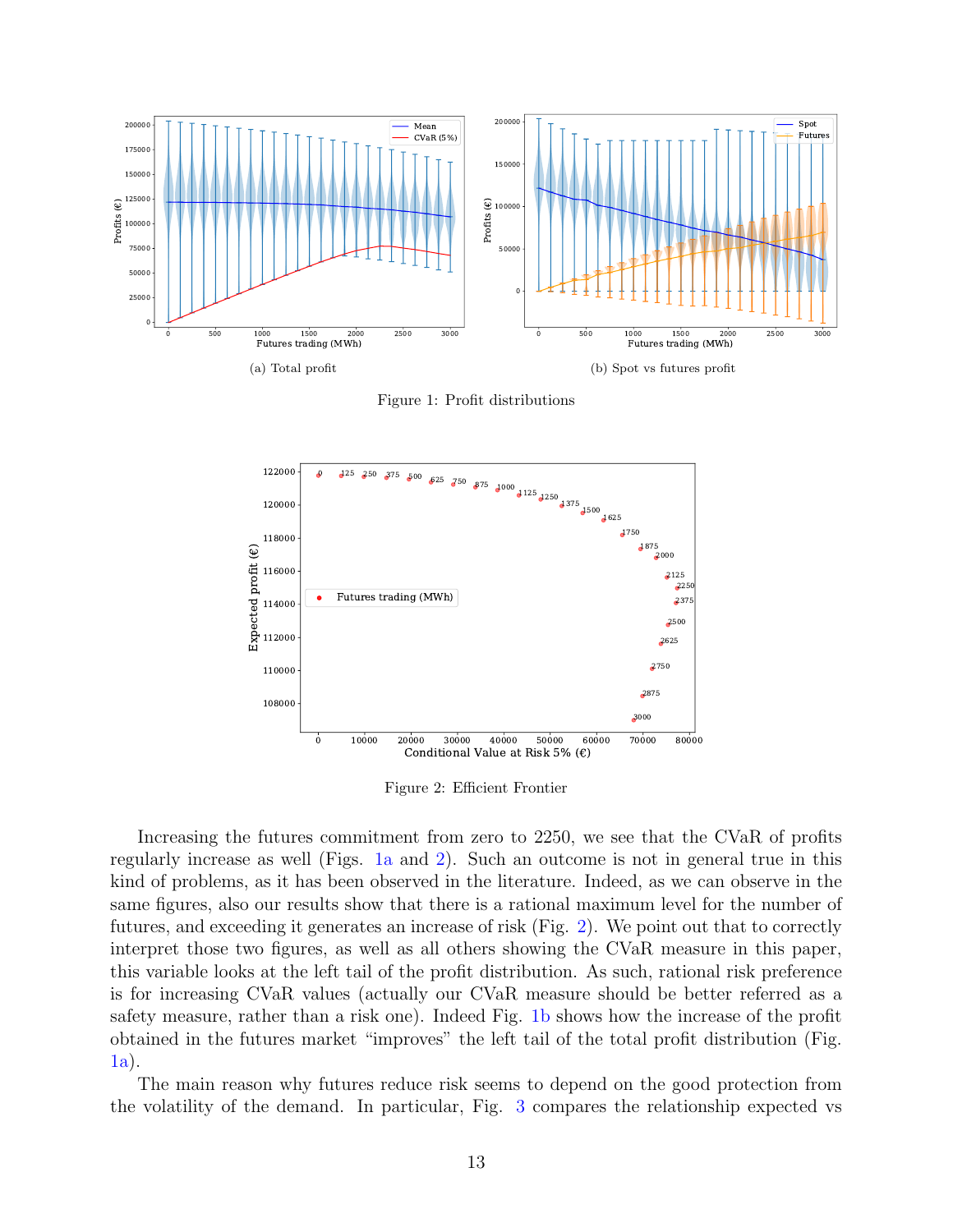<span id="page-12-0"></span>

Figure 1: Profit distributions

<span id="page-12-1"></span>

Figure 2: Efficient Frontier

Increasing the futures commitment from zero to 2250, we see that the CVaR of profits regularly increase as well (Figs. [1a](#page-12-0) and [2\)](#page-12-1). Such an outcome is not in general true in this kind of problems, as it has been observed in the literature. Indeed, as we can observe in the same figures, also our results show that there is a rational maximum level for the number of futures, and exceeding it generates an increase of risk (Fig. [2\)](#page-12-1). We point out that to correctly interpret those two figures, as well as all others showing the CVaR measure in this paper, this variable looks at the left tail of the profit distribution. As such, rational risk preference is for increasing CVaR values (actually our CVaR measure should be better referred as a safety measure, rather than a risk one). Indeed Fig. [1b](#page-12-0) shows how the increase of the profit obtained in the futures market "improves" the left tail of the total profit distribution (Fig. [1a\)](#page-12-0).

The main reason why futures reduce risk seems to depend on the good protection from the volatility of the demand. In particular, Fig. [3](#page-13-0) compares the relationship expected vs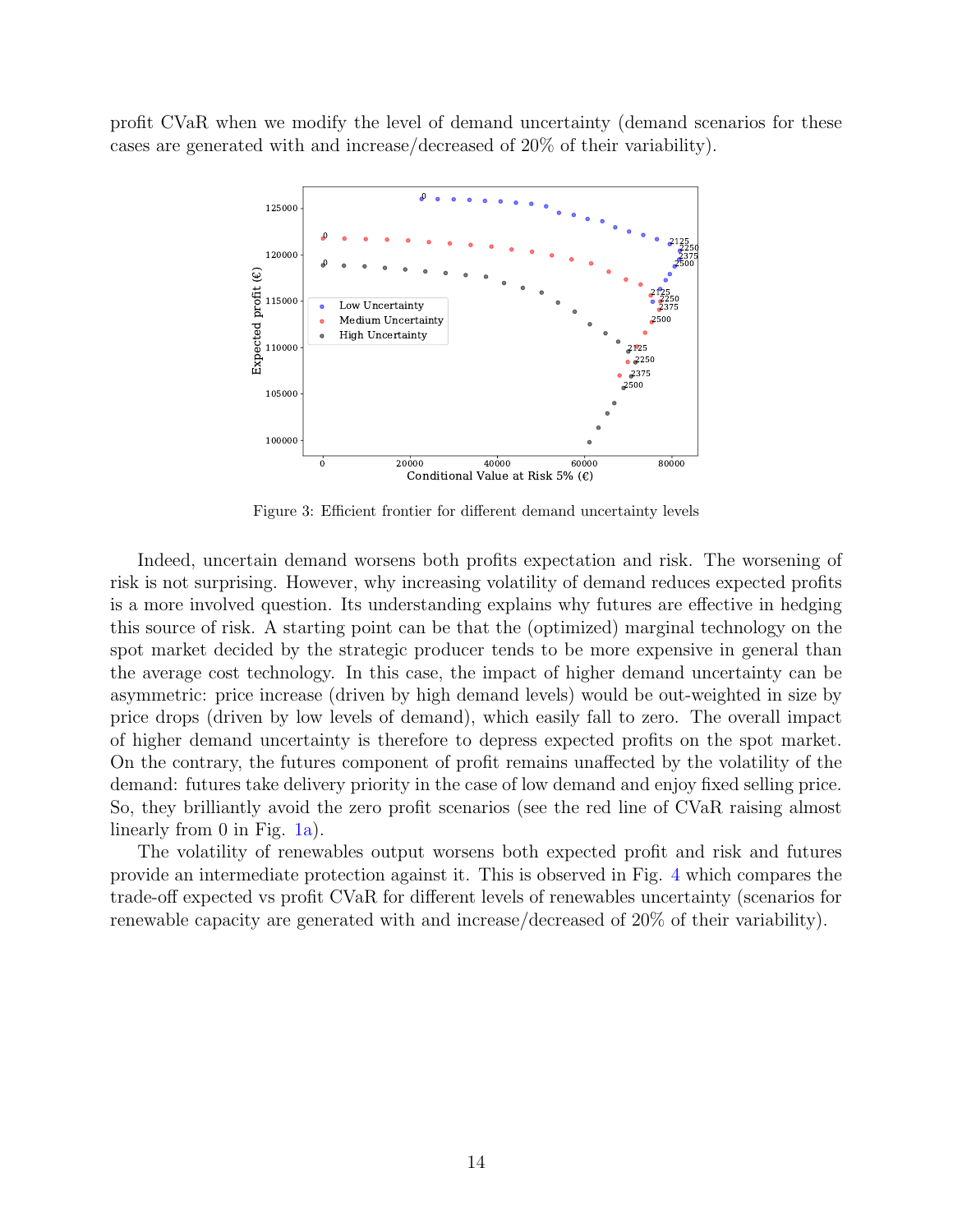<span id="page-13-0"></span>profit CVaR when we modify the level of demand uncertainty (demand scenarios for these cases are generated with and increase/decreased of 20% of their variability).



Figure 3: Efficient frontier for different demand uncertainty levels

Indeed, uncertain demand worsens both profits expectation and risk. The worsening of risk is not surprising. However, why increasing volatility of demand reduces expected profits is a more involved question. Its understanding explains why futures are effective in hedging this source of risk. A starting point can be that the (optimized) marginal technology on the spot market decided by the strategic producer tends to be more expensive in general than the average cost technology. In this case, the impact of higher demand uncertainty can be asymmetric: price increase (driven by high demand levels) would be out-weighted in size by price drops (driven by low levels of demand), which easily fall to zero. The overall impact of higher demand uncertainty is therefore to depress expected profits on the spot market. On the contrary, the futures component of profit remains unaffected by the volatility of the demand: futures take delivery priority in the case of low demand and enjoy fixed selling price. So, they brilliantly avoid the zero profit scenarios (see the red line of CVaR raising almost linearly from 0 in Fig. [1a\)](#page-12-0).

The volatility of renewables output worsens both expected profit and risk and futures provide an intermediate protection against it. This is observed in Fig. [4](#page-14-0) which compares the trade-off expected vs profit CVaR for different levels of renewables uncertainty (scenarios for renewable capacity are generated with and increase/decreased of 20% of their variability).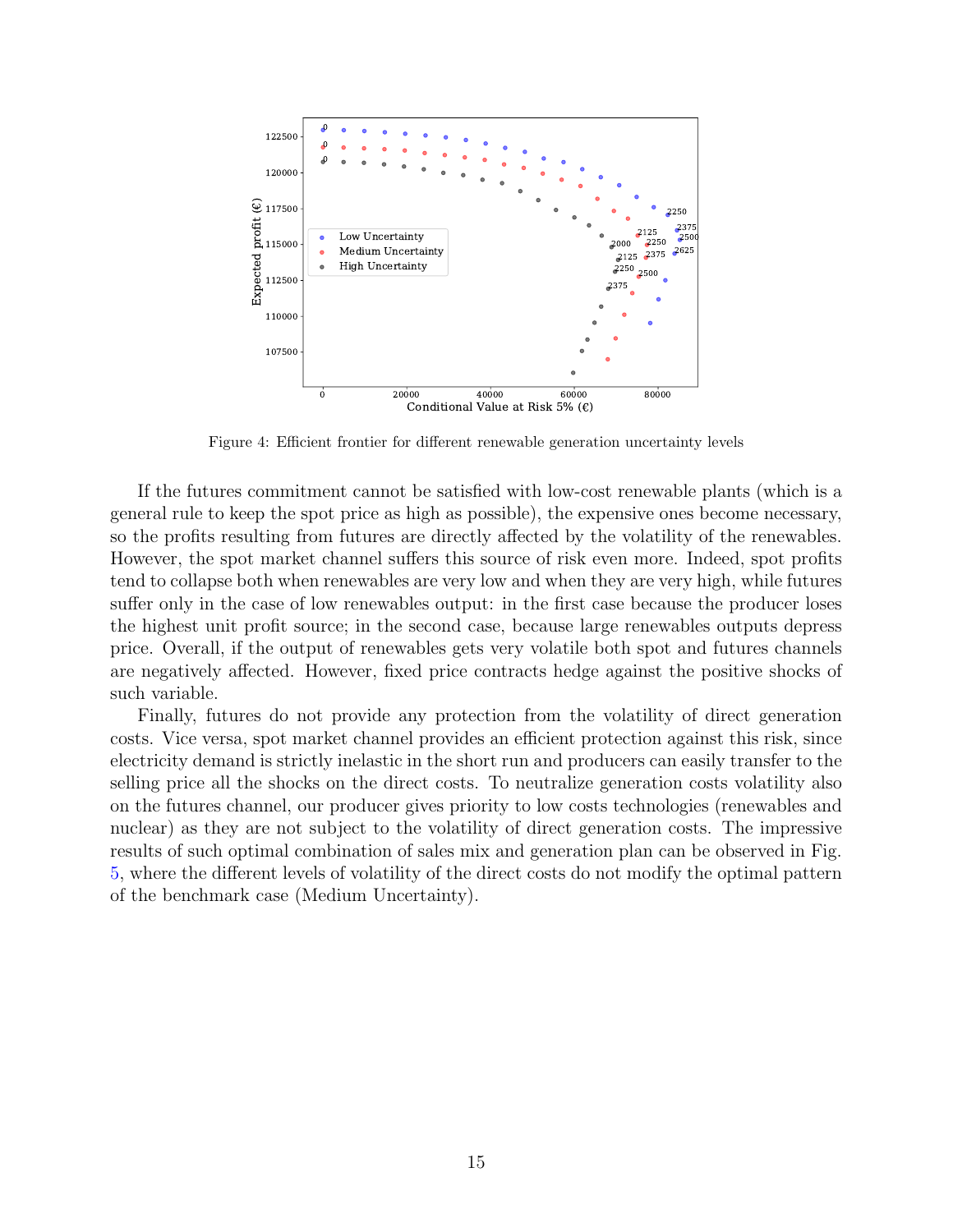<span id="page-14-0"></span>

Figure 4: Efficient frontier for different renewable generation uncertainty levels

If the futures commitment cannot be satisfied with low-cost renewable plants (which is a general rule to keep the spot price as high as possible), the expensive ones become necessary, so the profits resulting from futures are directly affected by the volatility of the renewables. However, the spot market channel suffers this source of risk even more. Indeed, spot profits tend to collapse both when renewables are very low and when they are very high, while futures suffer only in the case of low renewables output: in the first case because the producer loses the highest unit profit source; in the second case, because large renewables outputs depress price. Overall, if the output of renewables gets very volatile both spot and futures channels are negatively affected. However, fixed price contracts hedge against the positive shocks of such variable.

Finally, futures do not provide any protection from the volatility of direct generation costs. Vice versa, spot market channel provides an efficient protection against this risk, since electricity demand is strictly inelastic in the short run and producers can easily transfer to the selling price all the shocks on the direct costs. To neutralize generation costs volatility also on the futures channel, our producer gives priority to low costs technologies (renewables and nuclear) as they are not subject to the volatility of direct generation costs. The impressive results of such optimal combination of sales mix and generation plan can be observed in Fig. [5,](#page-15-0) where the different levels of volatility of the direct costs do not modify the optimal pattern of the benchmark case (Medium Uncertainty).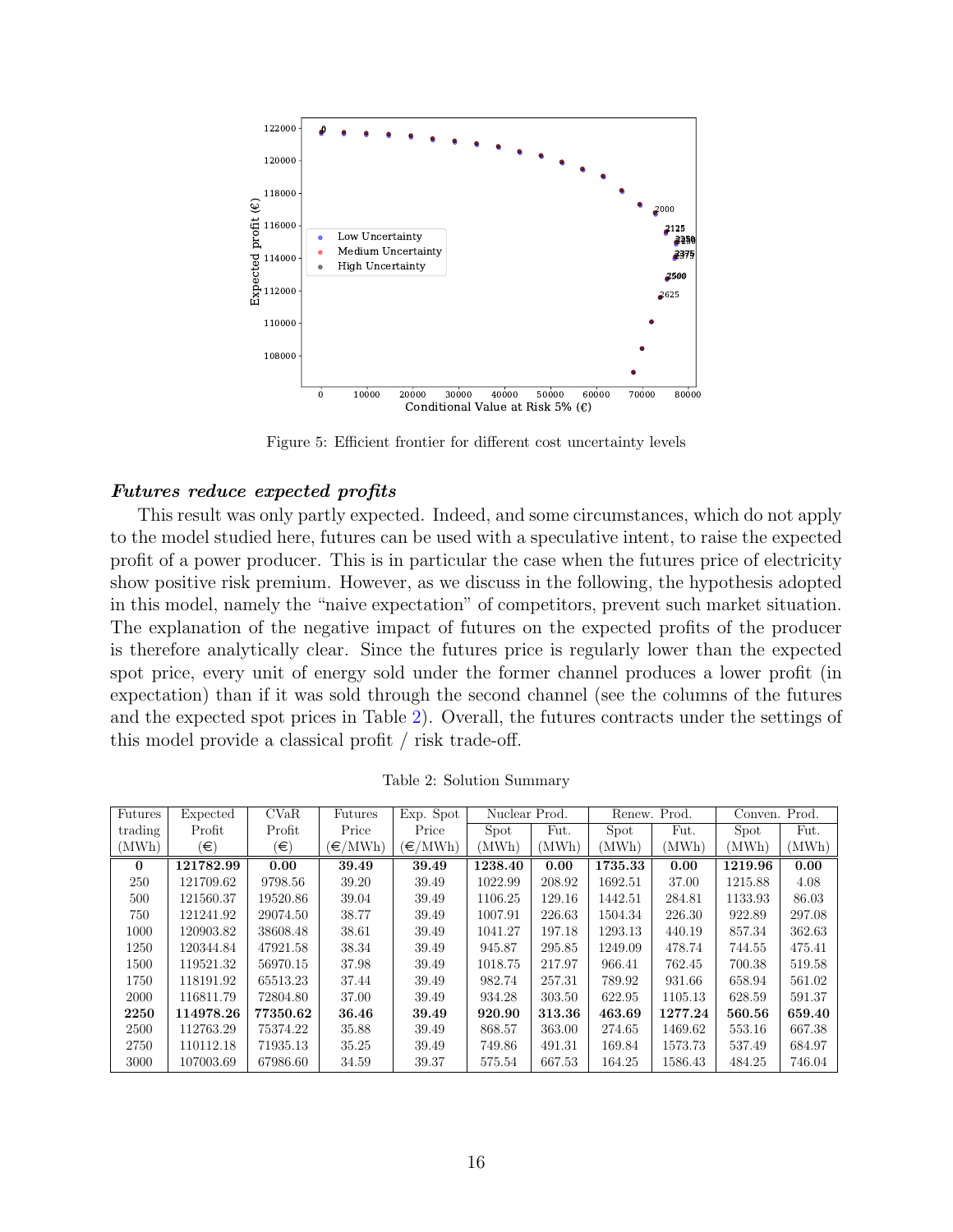<span id="page-15-0"></span>

Figure 5: Efficient frontier for different cost uncertainty levels

# Futures reduce expected profits

This result was only partly expected. Indeed, and some circumstances, which do not apply to the model studied here, futures can be used with a speculative intent, to raise the expected profit of a power producer. This is in particular the case when the futures price of electricity show positive risk premium. However, as we discuss in the following, the hypothesis adopted in this model, namely the "naive expectation" of competitors, prevent such market situation. The explanation of the negative impact of futures on the expected profits of the producer is therefore analytically clear. Since the futures price is regularly lower than the expected spot price, every unit of energy sold under the former channel produces a lower profit (in expectation) than if it was sold through the second channel (see the columns of the futures and the expected spot prices in Table [2\)](#page-15-1). Overall, the futures contracts under the settings of this model provide a classical profit / risk trade-off.

<span id="page-15-1"></span>

| Futures  | Expected  | CVaR     | Futures                         | Exp. Spot            | Nuclear Prod. |        |         | Renew. Prod. | Conven. Prod. |        |
|----------|-----------|----------|---------------------------------|----------------------|---------------|--------|---------|--------------|---------------|--------|
| trading  | Profit    | Profit   | Price                           | Price                | Spot          | Fut.   | Spot    | Fut.         | Spot          | Fut.   |
| (MWh)    | (€)       | $(\in)$  | $\left(\in/\mathrm{MWh}\right)$ | $(\in / \text{MWh})$ | (MWh)         | (MWh)  | (MWh)   | (MWh)        | (MWh)         | (MWh)  |
| $\theta$ | 121782.99 | 0.00     | 39.49                           | 39.49                | 1238.40       | 0.00   | 1735.33 | 0.00         | 1219.96       | 0.00   |
| 250      | 121709.62 | 9798.56  | 39.20                           | 39.49                | 1022.99       | 208.92 | 1692.51 | 37.00        | 1215.88       | 4.08   |
| 500      | 121560.37 | 19520.86 | 39.04                           | 39.49                | 1106.25       | 129.16 | 1442.51 | 284.81       | 1133.93       | 86.03  |
| 750      | 121241.92 | 29074.50 | 38.77                           | 39.49                | 1007.91       | 226.63 | 1504.34 | 226.30       | 922.89        | 297.08 |
| 1000     | 120903.82 | 38608.48 | 38.61                           | 39.49                | 1041.27       | 197.18 | 1293.13 | 440.19       | 857.34        | 362.63 |
| 1250     | 120344.84 | 47921.58 | 38.34                           | 39.49                | 945.87        | 295.85 | 1249.09 | 478.74       | 744.55        | 475.41 |
| 1500     | 119521.32 | 56970.15 | 37.98                           | 39.49                | 1018.75       | 217.97 | 966.41  | 762.45       | 700.38        | 519.58 |
| 1750     | 118191.92 | 65513.23 | 37.44                           | 39.49                | 982.74        | 257.31 | 789.92  | 931.66       | 658.94        | 561.02 |
| 2000     | 116811.79 | 72804.80 | 37.00                           | 39.49                | 934.28        | 303.50 | 622.95  | 1105.13      | 628.59        | 591.37 |
| 2250     | 114978.26 | 77350.62 | 36.46                           | 39.49                | 920.90        | 313.36 | 463.69  | 1277.24      | 560.56        | 659.40 |
| 2500     | 112763.29 | 75374.22 | 35.88                           | 39.49                | 868.57        | 363.00 | 274.65  | 1469.62      | 553.16        | 667.38 |
| 2750     | 110112.18 | 71935.13 | 35.25                           | 39.49                | 749.86        | 491.31 | 169.84  | 1573.73      | 537.49        | 684.97 |
| 3000     | 107003.69 | 67986.60 | 34.59                           | 39.37                | 575.54        | 667.53 | 164.25  | 1586.43      | 484.25        | 746.04 |

Table 2: Solution Summary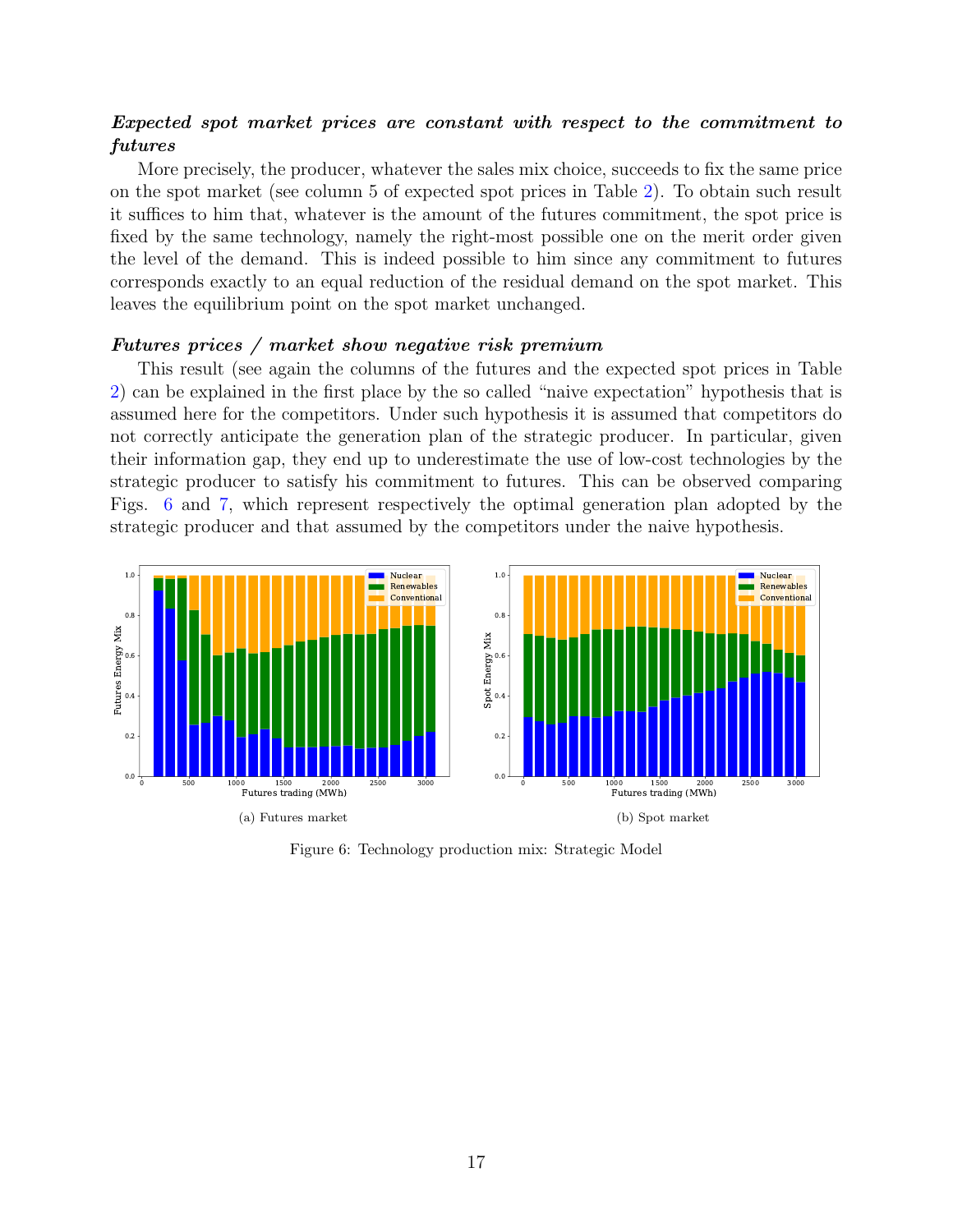# Expected spot market prices are constant with respect to the commitment to futures

More precisely, the producer, whatever the sales mix choice, succeeds to fix the same price on the spot market (see column 5 of expected spot prices in Table [2\)](#page-15-1). To obtain such result it suffices to him that, whatever is the amount of the futures commitment, the spot price is fixed by the same technology, namely the right-most possible one on the merit order given the level of the demand. This is indeed possible to him since any commitment to futures corresponds exactly to an equal reduction of the residual demand on the spot market. This leaves the equilibrium point on the spot market unchanged.

## Futures prices / market show negative risk premium

This result (see again the columns of the futures and the expected spot prices in Table [2\)](#page-15-1) can be explained in the first place by the so called "naive expectation" hypothesis that is assumed here for the competitors. Under such hypothesis it is assumed that competitors do not correctly anticipate the generation plan of the strategic producer. In particular, given their information gap, they end up to underestimate the use of low-cost technologies by the strategic producer to satisfy his commitment to futures. This can be observed comparing Figs. [6](#page-16-0) and [7,](#page-17-0) which represent respectively the optimal generation plan adopted by the strategic producer and that assumed by the competitors under the naive hypothesis.

<span id="page-16-0"></span>

Figure 6: Technology production mix: Strategic Model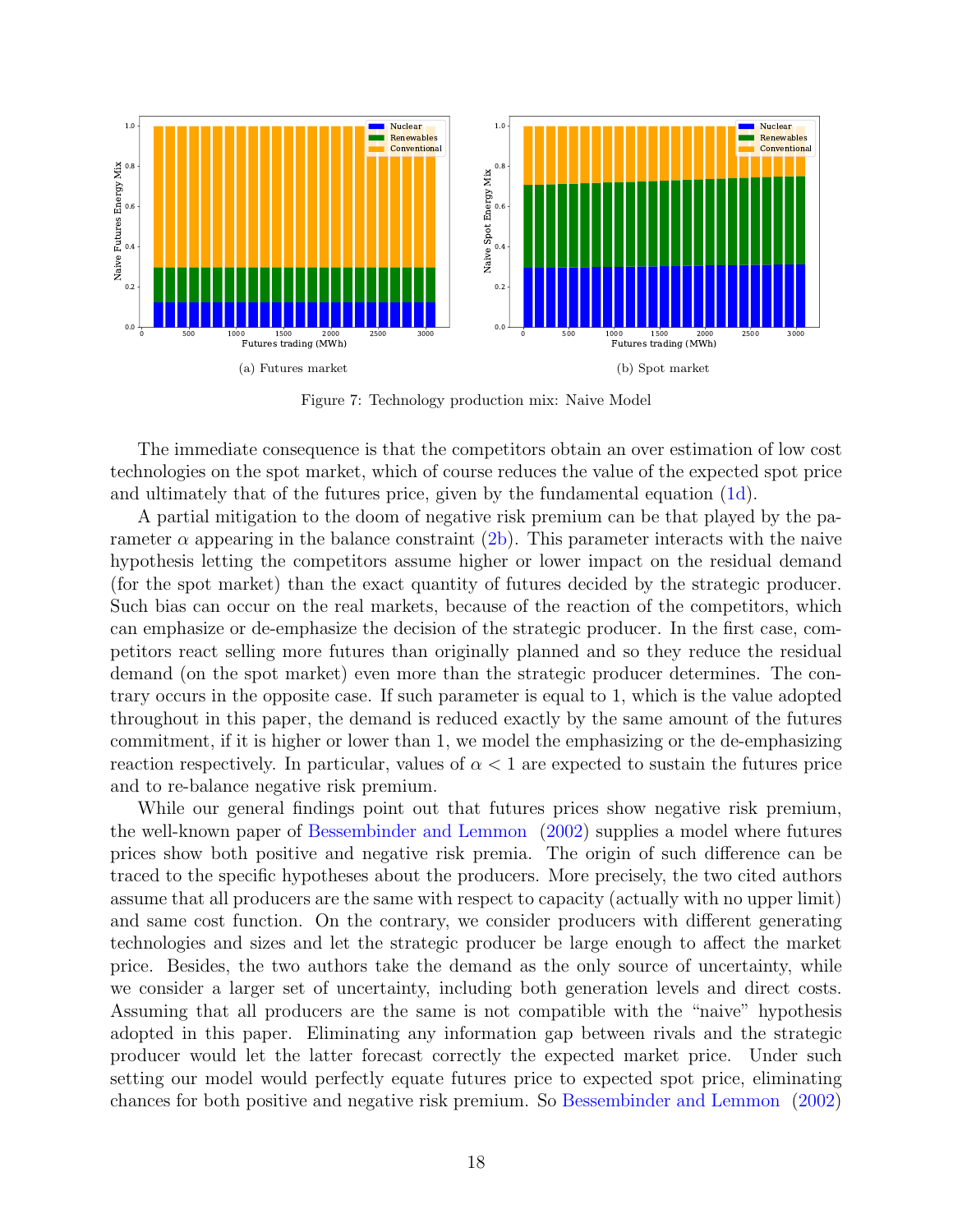<span id="page-17-0"></span>

Figure 7: Technology production mix: Naive Model

The immediate consequence is that the competitors obtain an over estimation of low cost technologies on the spot market, which of course reduces the value of the expected spot price and ultimately that of the futures price, given by the fundamental equation [\(1d\)](#page-5-3).

A partial mitigation to the doom of negative risk premium can be that played by the parameter  $\alpha$  appearing in the balance constraint [\(2b\)](#page-6-2). This parameter interacts with the naive hypothesis letting the competitors assume higher or lower impact on the residual demand (for the spot market) than the exact quantity of futures decided by the strategic producer. Such bias can occur on the real markets, because of the reaction of the competitors, which can emphasize or de-emphasize the decision of the strategic producer. In the first case, competitors react selling more futures than originally planned and so they reduce the residual demand (on the spot market) even more than the strategic producer determines. The contrary occurs in the opposite case. If such parameter is equal to 1, which is the value adopted throughout in this paper, the demand is reduced exactly by the same amount of the futures commitment, if it is higher or lower than 1, we model the emphasizing or the de-emphasizing reaction respectively. In particular, values of  $\alpha < 1$  are expected to sustain the futures price and to re-balance negative risk premium.

While our general findings point out that futures prices show negative risk premium, the well-known paper of [Bessembinder and Lemmon](#page-21-8) [\(2002\)](#page-21-8) supplies a model where futures prices show both positive and negative risk premia. The origin of such difference can be traced to the specific hypotheses about the producers. More precisely, the two cited authors assume that all producers are the same with respect to capacity (actually with no upper limit) and same cost function. On the contrary, we consider producers with different generating technologies and sizes and let the strategic producer be large enough to affect the market price. Besides, the two authors take the demand as the only source of uncertainty, while we consider a larger set of uncertainty, including both generation levels and direct costs. Assuming that all producers are the same is not compatible with the "naive" hypothesis adopted in this paper. Eliminating any information gap between rivals and the strategic producer would let the latter forecast correctly the expected market price. Under such setting our model would perfectly equate futures price to expected spot price, eliminating chances for both positive and negative risk premium. So [Bessembinder and Lemmon](#page-21-8) [\(2002\)](#page-21-8)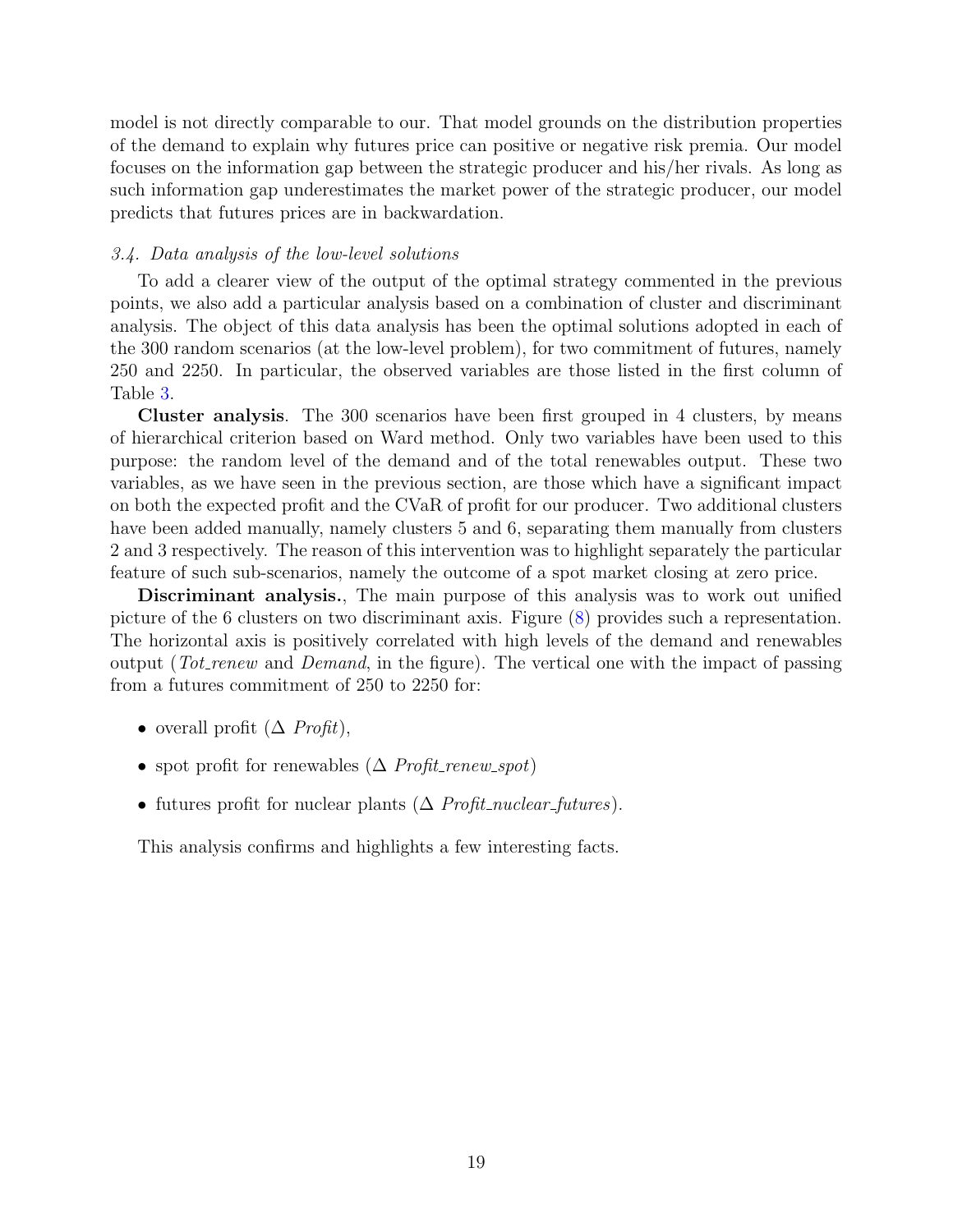model is not directly comparable to our. That model grounds on the distribution properties of the demand to explain why futures price can positive or negative risk premia. Our model focuses on the information gap between the strategic producer and his/her rivals. As long as such information gap underestimates the market power of the strategic producer, our model predicts that futures prices are in backwardation.

# 3.4. Data analysis of the low-level solutions

To add a clearer view of the output of the optimal strategy commented in the previous points, we also add a particular analysis based on a combination of cluster and discriminant analysis. The object of this data analysis has been the optimal solutions adopted in each of the 300 random scenarios (at the low-level problem), for two commitment of futures, namely 250 and 2250. In particular, the observed variables are those listed in the first column of Table [3.](#page-20-0)

Cluster analysis. The 300 scenarios have been first grouped in 4 clusters, by means of hierarchical criterion based on Ward method. Only two variables have been used to this purpose: the random level of the demand and of the total renewables output. These two variables, as we have seen in the previous section, are those which have a significant impact on both the expected profit and the CVaR of profit for our producer. Two additional clusters have been added manually, namely clusters 5 and 6, separating them manually from clusters 2 and 3 respectively. The reason of this intervention was to highlight separately the particular feature of such sub-scenarios, namely the outcome of a spot market closing at zero price.

Discriminant analysis., The main purpose of this analysis was to work out unified picture of the 6 clusters on two discriminant axis. Figure [\(8\)](#page-19-0) provides such a representation. The horizontal axis is positively correlated with high levels of the demand and renewables output (Tot renew and Demand, in the figure). The vertical one with the impact of passing from a futures commitment of 250 to 2250 for:

- overall profit  $(\Delta \; Profit),$
- spot profit for renewables  $(\Delta$  *Profit\_renew\_spot*)
- futures profit for nuclear plants  $(\Delta \; Profit\_nuclear\_futures)$ .

This analysis confirms and highlights a few interesting facts.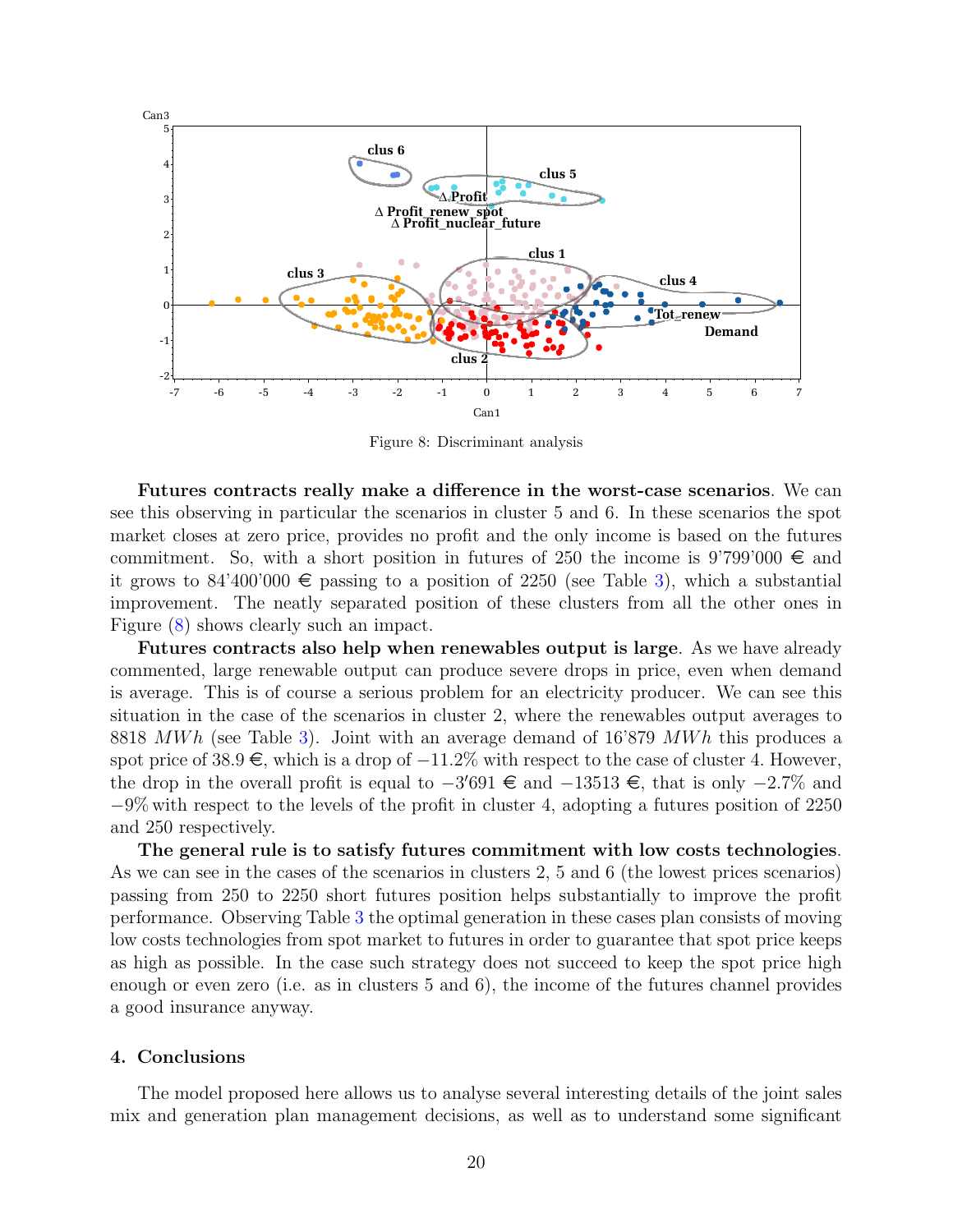<span id="page-19-0"></span>

Figure 8: Discriminant analysis

Futures contracts really make a difference in the worst-case scenarios. We can see this observing in particular the scenarios in cluster 5 and 6. In these scenarios the spot market closes at zero price, provides no profit and the only income is based on the futures commitment. So, with a short position in futures of 250 the income is 9'799'000  $\in$  and it grows to 84'400'000  $\epsilon$  passing to a position of 2250 (see Table [3\)](#page-20-0), which a substantial improvement. The neatly separated position of these clusters from all the other ones in Figure [\(8\)](#page-19-0) shows clearly such an impact.

Futures contracts also help when renewables output is large. As we have already commented, large renewable output can produce severe drops in price, even when demand is average. This is of course a serious problem for an electricity producer. We can see this situation in the case of the scenarios in cluster 2, where the renewables output averages to 8818 MWh (see Table [3\)](#page-20-0). Joint with an average demand of  $16'879$  MWh this produces a spot price of  $38.9 \in$ , which is a drop of  $-11.2\%$  with respect to the case of cluster 4. However, the drop in the overall profit is equal to  $-3'691 \text{ } \in \text{ }$  and  $-13513 \text{ } \in \text{ }$ , that is only  $-2.7\%$  and  $-9\%$  with respect to the levels of the profit in cluster 4, adopting a futures position of 2250 and 250 respectively.

The general rule is to satisfy futures commitment with low costs technologies. As we can see in the cases of the scenarios in clusters 2, 5 and 6 (the lowest prices scenarios) passing from 250 to 2250 short futures position helps substantially to improve the profit performance. Observing Table [3](#page-20-0) the optimal generation in these cases plan consists of moving low costs technologies from spot market to futures in order to guarantee that spot price keeps as high as possible. In the case such strategy does not succeed to keep the spot price high enough or even zero (i.e. as in clusters 5 and 6), the income of the futures channel provides a good insurance anyway.

# 4. Conclusions

The model proposed here allows us to analyse several interesting details of the joint sales mix and generation plan management decisions, as well as to understand some significant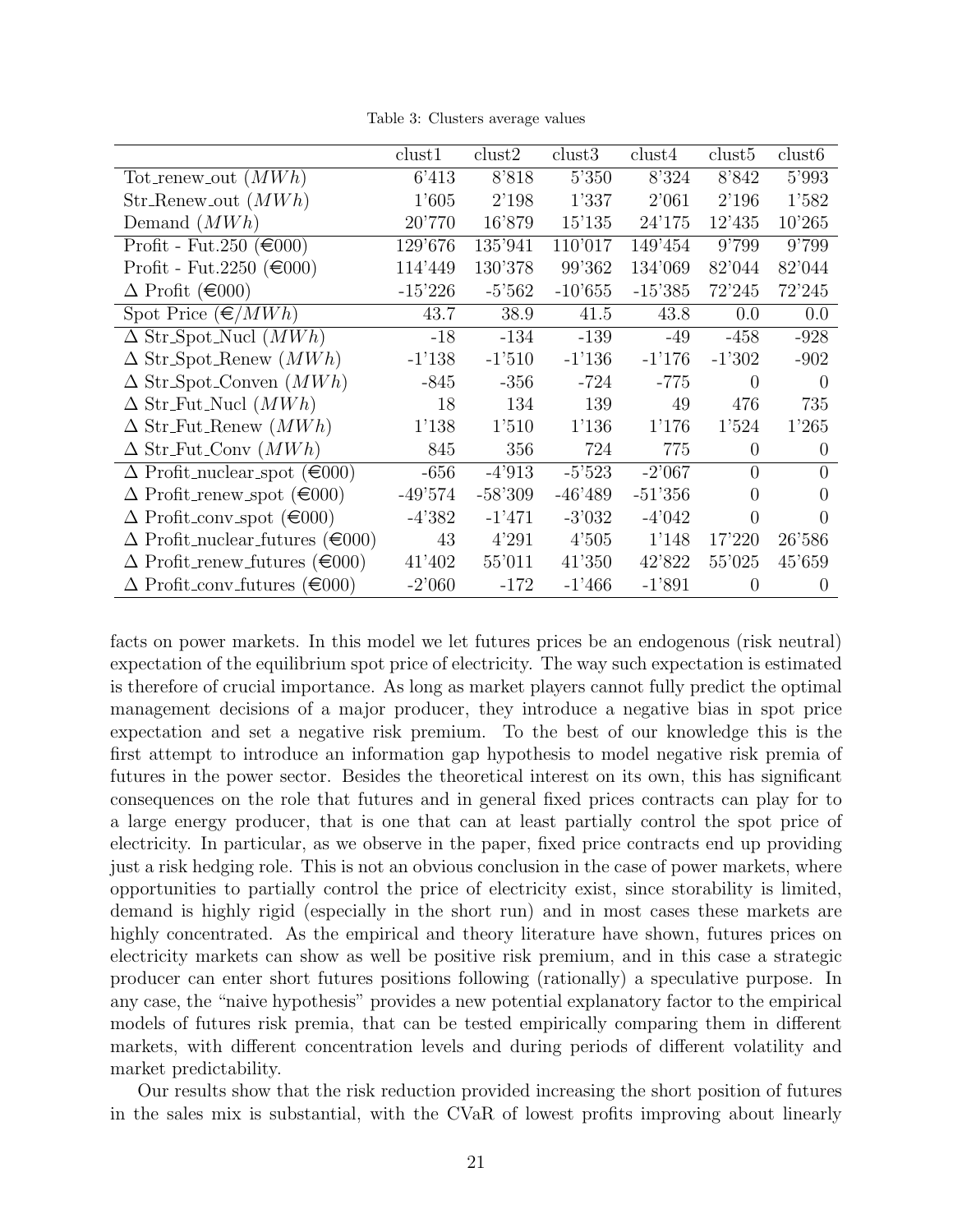Table 3: Clusters average values

<span id="page-20-0"></span>

|                                               | clust1    | clust2    | clust3    | clust4    | clust <sub>5</sub> | clust <sub>6</sub> |
|-----------------------------------------------|-----------|-----------|-----------|-----------|--------------------|--------------------|
| Tot_renew_out $(MWh)$                         | 6'413     | 8'818     | 5'350     | 8'324     | 8'842              | 5'993              |
| $Str_R$ -Renew <sub>-out</sub> $(MWh)$        | 1'605     | 2'198     | 1'337     | 2'061     | 2'196              | 1'582              |
| Demand $(MWh)$                                | 20'770    | 16'879    | 15'135    | 24'175    | 12'435             | 10'265             |
| Profit - Fut.250 ( $\in 000$ )                | 129'676   | 135'941   | 110'017   | 149'454   | 9'799              | 9'799              |
| Profit - Fut. 2250 ( $\epsilon$ 000)          | 114'449   | 130'378   | 99'362    | 134'069   | 82'044             | 82'044             |
| $\Delta$ Profit ( $\epsilon$ 000)             | $-15'226$ | $-5'562$  | $-10'655$ | $-15'385$ | 72'245             | 72'245             |
| Spot Price $(\epsilon/MWh)$                   | 43.7      | 38.9      | 41.5      | 43.8      | 0.0                | 0.0                |
| $\Delta$ Str_Spot_Nucl $(MWh)$                | $-18$     | $-134$    | $-139$    | $-49$     | $-458$             | $-928$             |
| $\Delta$ Str_Spot_Renew $(MWh)$               | $-1'138$  | $-1'510$  | $-1'136$  | $-1'176$  | $-1'302$           | $-902$             |
| $\Delta$ Str_Spot_Conven $(MWh)$              | $-845$    | $-356$    | $-724$    | $-775$    | $\theta$           | $\Omega$           |
| $\Delta$ Str_Fut_Nucl $(MWh)$                 | 18        | 134       | 139       | 49        | 476                | 735                |
| $\Delta$ Str_Fut_Renew $(MWh)$                | 1'138     | 1'510     | 1'136     | 1'176     | 1'524              | 1'265              |
| $\Delta$ Str_Fut_Conv $(MWh)$                 | 845       | 356       | 724       | 775       | $\theta$           | $\theta$           |
| $\Delta$ Profit_nuclear_spot ( $\in 000$ )    | $-656$    | $-4'913$  | $-5'523$  | $-2'067$  | $\theta$           | $\theta$           |
| $\Delta$ Profit_renew_spot ( $\in 000$ )      | $-49'574$ | $-58'309$ | $-46'489$ | $-51'356$ | 0                  | $\theta$           |
| $\Delta$ Profit_conv_spot ( $\in 000$ )       | $-4'382$  | $-1'471$  | $-3'032$  | $-4'042$  | 0                  | 0                  |
| $\Delta$ Profit_nuclear_futures ( $\in 000$ ) | 43        | 4'291     | 4'505     | 1'148     | 17'220             | 26'586             |
| $\Delta$ Profit_renew_futures ( $\in 000$ )   | 41'402    | 55'011    | 41'350    | 42'822    | 55'025             | 45'659             |
| $\Delta$ Profit_conv_futures ( $\in 000$ )    | $-2'060$  | $-172$    | $-1'466$  | $-1'891$  | $\theta$           | $\Omega$           |

facts on power markets. In this model we let futures prices be an endogenous (risk neutral) expectation of the equilibrium spot price of electricity. The way such expectation is estimated is therefore of crucial importance. As long as market players cannot fully predict the optimal management decisions of a major producer, they introduce a negative bias in spot price expectation and set a negative risk premium. To the best of our knowledge this is the first attempt to introduce an information gap hypothesis to model negative risk premia of futures in the power sector. Besides the theoretical interest on its own, this has significant consequences on the role that futures and in general fixed prices contracts can play for to a large energy producer, that is one that can at least partially control the spot price of electricity. In particular, as we observe in the paper, fixed price contracts end up providing just a risk hedging role. This is not an obvious conclusion in the case of power markets, where opportunities to partially control the price of electricity exist, since storability is limited, demand is highly rigid (especially in the short run) and in most cases these markets are highly concentrated. As the empirical and theory literature have shown, futures prices on electricity markets can show as well be positive risk premium, and in this case a strategic producer can enter short futures positions following (rationally) a speculative purpose. In any case, the "naive hypothesis" provides a new potential explanatory factor to the empirical models of futures risk premia, that can be tested empirically comparing them in different markets, with different concentration levels and during periods of different volatility and market predictability.

Our results show that the risk reduction provided increasing the short position of futures in the sales mix is substantial, with the CVaR of lowest profits improving about linearly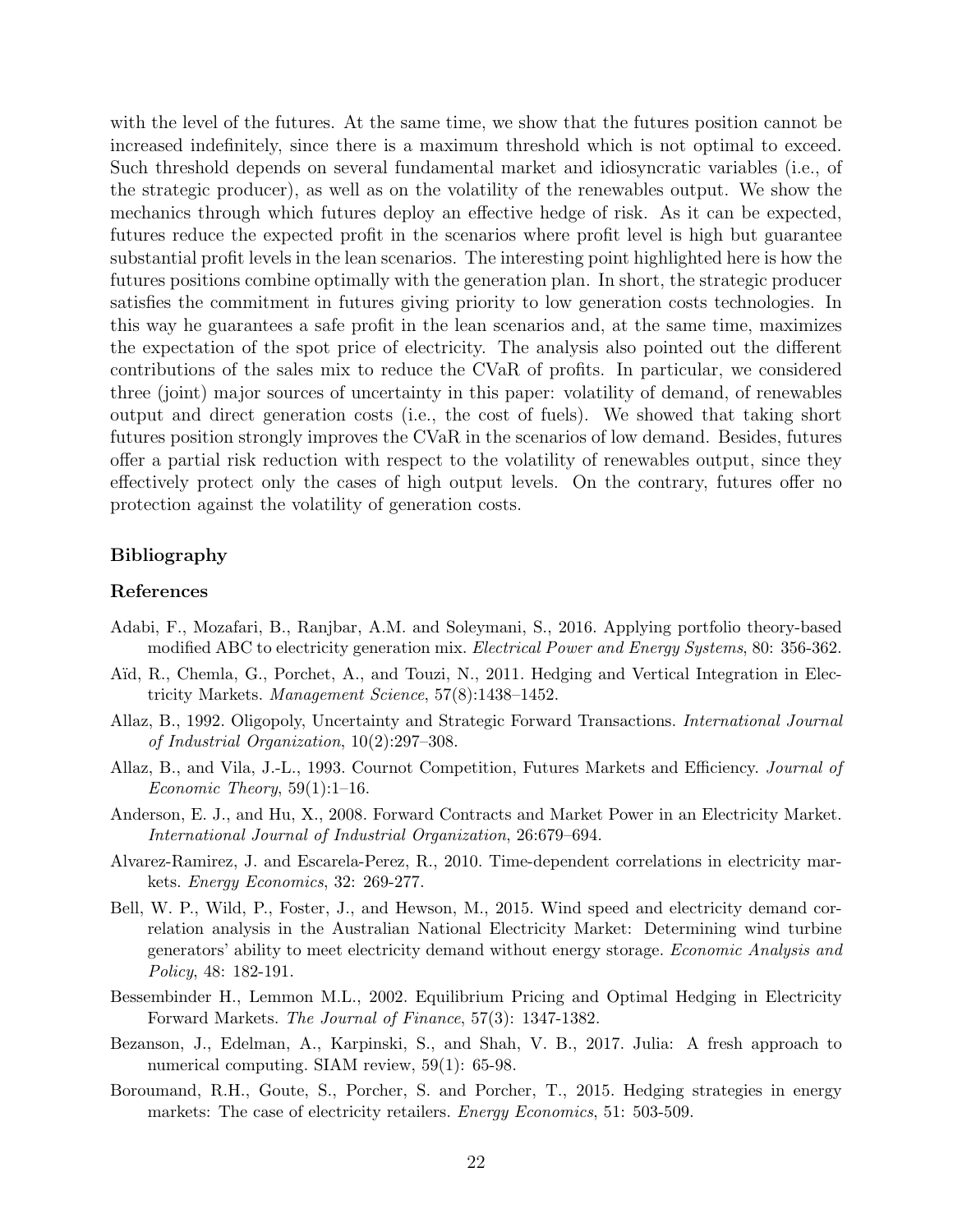with the level of the futures. At the same time, we show that the futures position cannot be increased indefinitely, since there is a maximum threshold which is not optimal to exceed. Such threshold depends on several fundamental market and idiosyncratic variables (i.e., of the strategic producer), as well as on the volatility of the renewables output. We show the mechanics through which futures deploy an effective hedge of risk. As it can be expected, futures reduce the expected profit in the scenarios where profit level is high but guarantee substantial profit levels in the lean scenarios. The interesting point highlighted here is how the futures positions combine optimally with the generation plan. In short, the strategic producer satisfies the commitment in futures giving priority to low generation costs technologies. In this way he guarantees a safe profit in the lean scenarios and, at the same time, maximizes the expectation of the spot price of electricity. The analysis also pointed out the different contributions of the sales mix to reduce the CVaR of profits. In particular, we considered three (joint) major sources of uncertainty in this paper: volatility of demand, of renewables output and direct generation costs (i.e., the cost of fuels). We showed that taking short futures position strongly improves the CVaR in the scenarios of low demand. Besides, futures offer a partial risk reduction with respect to the volatility of renewables output, since they effectively protect only the cases of high output levels. On the contrary, futures offer no protection against the volatility of generation costs.

# Bibliography

#### References

- <span id="page-21-5"></span>Adabi, F., Mozafari, B., Ranjbar, A.M. and Soleymani, S., 2016. Applying portfolio theory-based modified ABC to electricity generation mix. Electrical Power and Energy Systems, 80: 356-362.
- <span id="page-21-7"></span>A¨ıd, R., Chemla, G., Porchet, A., and Touzi, N., 2011. Hedging and Vertical Integration in Electricity Markets. Management Science, 57(8):1438–1452.
- <span id="page-21-0"></span>Allaz, B., 1992. Oligopoly, Uncertainty and Strategic Forward Transactions. International Journal of Industrial Organization, 10(2):297–308.
- <span id="page-21-1"></span>Allaz, B., and Vila, J.-L., 1993. Cournot Competition, Futures Markets and Efficiency. Journal of Economic Theory,  $59(1):1-16$ .
- <span id="page-21-6"></span>Anderson, E. J., and Hu, X., 2008. Forward Contracts and Market Power in an Electricity Market. International Journal of Industrial Organization, 26:679–694.
- <span id="page-21-2"></span>Alvarez-Ramirez, J. and Escarela-Perez, R., 2010. Time-dependent correlations in electricity markets. Energy Economics, 32: 269-277.
- <span id="page-21-4"></span>Bell, W. P., Wild, P., Foster, J., and Hewson, M., 2015. Wind speed and electricity demand correlation analysis in the Australian National Electricity Market: Determining wind turbine generators' ability to meet electricity demand without energy storage. Economic Analysis and Policy, 48: 182-191.
- <span id="page-21-8"></span>Bessembinder H., Lemmon M.L., 2002. Equilibrium Pricing and Optimal Hedging in Electricity Forward Markets. The Journal of Finance, 57(3): 1347-1382.
- Bezanson, J., Edelman, A., Karpinski, S., and Shah, V. B., 2017. Julia: A fresh approach to numerical computing. SIAM review,  $59(1)$ : 65-98.
- <span id="page-21-3"></span>Boroumand, R.H., Goute, S., Porcher, S. and Porcher, T., 2015. Hedging strategies in energy markets: The case of electricity retailers. *Energy Economics*, 51: 503-509.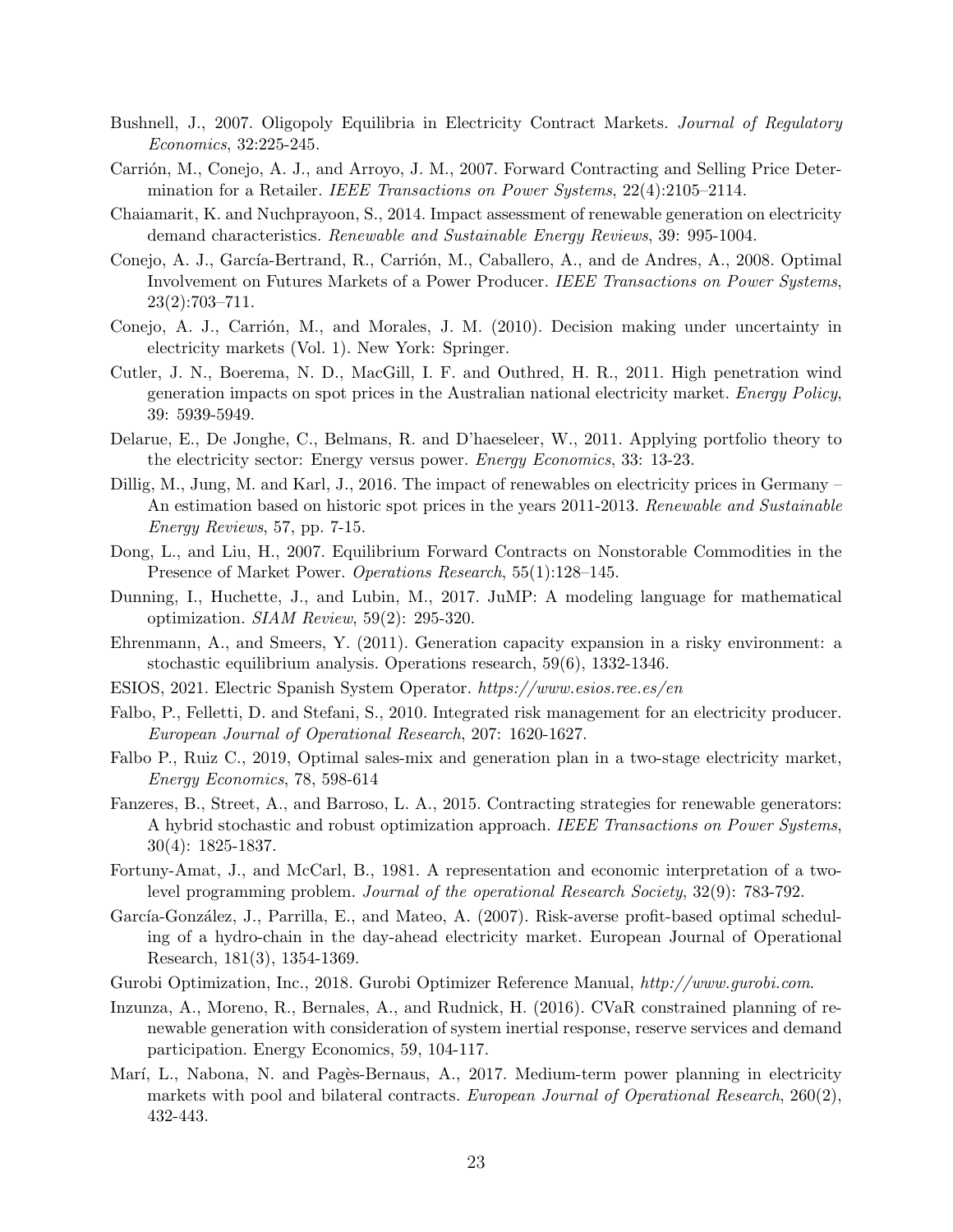- <span id="page-22-7"></span>Bushnell, J., 2007. Oligopoly Equilibria in Electricity Contract Markets. Journal of Regulatory Economics, 32:225-245.
- <span id="page-22-8"></span>Carrión, M., Conejo, A. J., and Arroyo, J. M., 2007. Forward Contracting and Selling Price Determination for a Retailer. IEEE Transactions on Power Systems, 22(4):2105–2114.
- <span id="page-22-3"></span>Chaiamarit, K. and Nuchprayoon, S., 2014. Impact assessment of renewable generation on electricity demand characteristics. Renewable and Sustainable Energy Reviews, 39: 995-1004.
- <span id="page-22-9"></span>Conejo, A. J., García-Bertrand, R., Carrión, M., Caballero, A., and de Andres, A., 2008. Optimal Involvement on Futures Markets of a Power Producer. IEEE Transactions on Power Systems, 23(2):703–711.
- Conejo, A. J., Carrión, M., and Morales, J. M. (2010). Decision making under uncertainty in electricity markets (Vol. 1). New York: Springer.
- <span id="page-22-2"></span>Cutler, J. N., Boerema, N. D., MacGill, I. F. and Outhred, H. R., 2011. High penetration wind generation impacts on spot prices in the Australian national electricity market. Energy Policy, 39: 5939-5949.
- <span id="page-22-5"></span>Delarue, E., De Jonghe, C., Belmans, R. and D'haeseleer, W., 2011. Applying portfolio theory to the electricity sector: Energy versus power. Energy Economics, 33: 13-23.
- <span id="page-22-4"></span>Dillig, M., Jung, M. and Karl, J., 2016. The impact of renewables on electricity prices in Germany – An estimation based on historic spot prices in the years 2011-2013. Renewable and Sustainable Energy Reviews, 57, pp. 7-15.
- <span id="page-22-1"></span>Dong, L., and Liu, H., 2007. Equilibrium Forward Contracts on Nonstorable Commodities in the Presence of Market Power. Operations Research, 55(1):128–145.
- Dunning, I., Huchette, J., and Lubin, M., 2017. JuMP: A modeling language for mathematical optimization. SIAM Review, 59(2): 295-320.
- Ehrenmann, A., and Smeers, Y. (2011). Generation capacity expansion in a risky environment: a stochastic equilibrium analysis. Operations research, 59(6), 1332-1346.
- <span id="page-22-12"></span>ESIOS, 2021. Electric Spanish System Operator. https://www.esios.ree.es/en
- <span id="page-22-6"></span>Falbo, P., Felletti, D. and Stefani, S., 2010. Integrated risk management for an electricity producer. European Journal of Operational Research, 207: 1620-1627.
- <span id="page-22-0"></span>Falbo P., Ruiz C., 2019, Optimal sales-mix and generation plan in a two-stage electricity market, Energy Economics, 78, 598-614
- <span id="page-22-10"></span>Fanzeres, B., Street, A., and Barroso, L. A., 2015. Contracting strategies for renewable generators: A hybrid stochastic and robust optimization approach. IEEE Transactions on Power Systems, 30(4): 1825-1837.
- Fortuny-Amat, J., and McCarl, B., 1981. A representation and economic interpretation of a twolevel programming problem. Journal of the operational Research Society, 32(9): 783-792.
- García-González, J., Parrilla, E., and Mateo, A. (2007). Risk-averse profit-based optimal scheduling of a hydro-chain in the day-ahead electricity market. European Journal of Operational Research, 181(3), 1354-1369.
- Gurobi Optimization, Inc., 2018. Gurobi Optimizer Reference Manual, http://www.gurobi.com.
- Inzunza, A., Moreno, R., Bernales, A., and Rudnick, H. (2016). CVaR constrained planning of renewable generation with consideration of system inertial response, reserve services and demand participation. Energy Economics, 59, 104-117.
- <span id="page-22-11"></span>Marí, L., Nabona, N. and Pagès-Bernaus, A., 2017. Medium-term power planning in electricity markets with pool and bilateral contracts. European Journal of Operational Research, 260(2), 432-443.